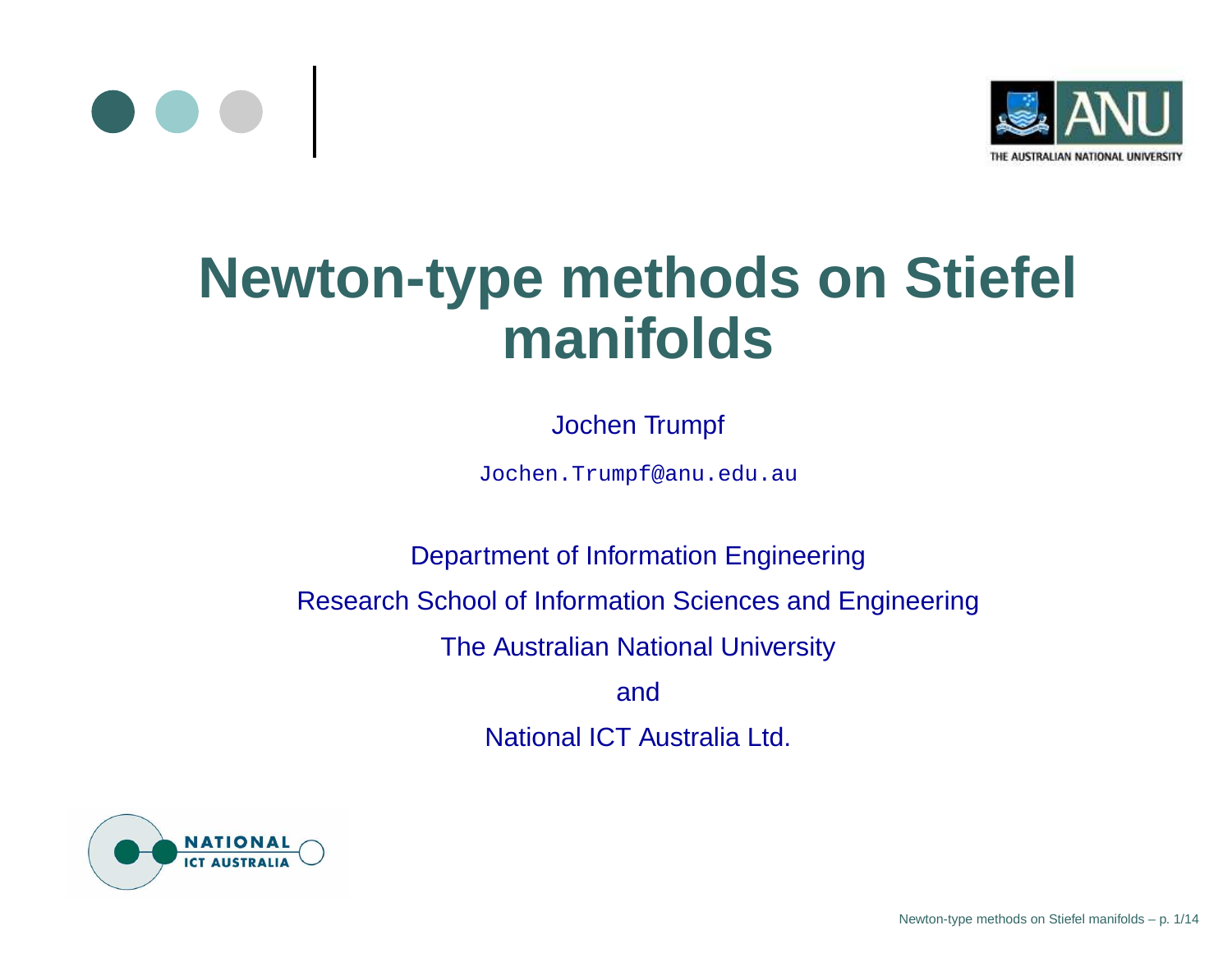



## **Newton-type methods on Stiefel manifolds**

#### Jochen Trumpf

Jochen.Trumpf@anu.edu.au

Department of Information Engineering Research School of Information Sciences and Engineering The Australian National University andNational ICT Australia Ltd.

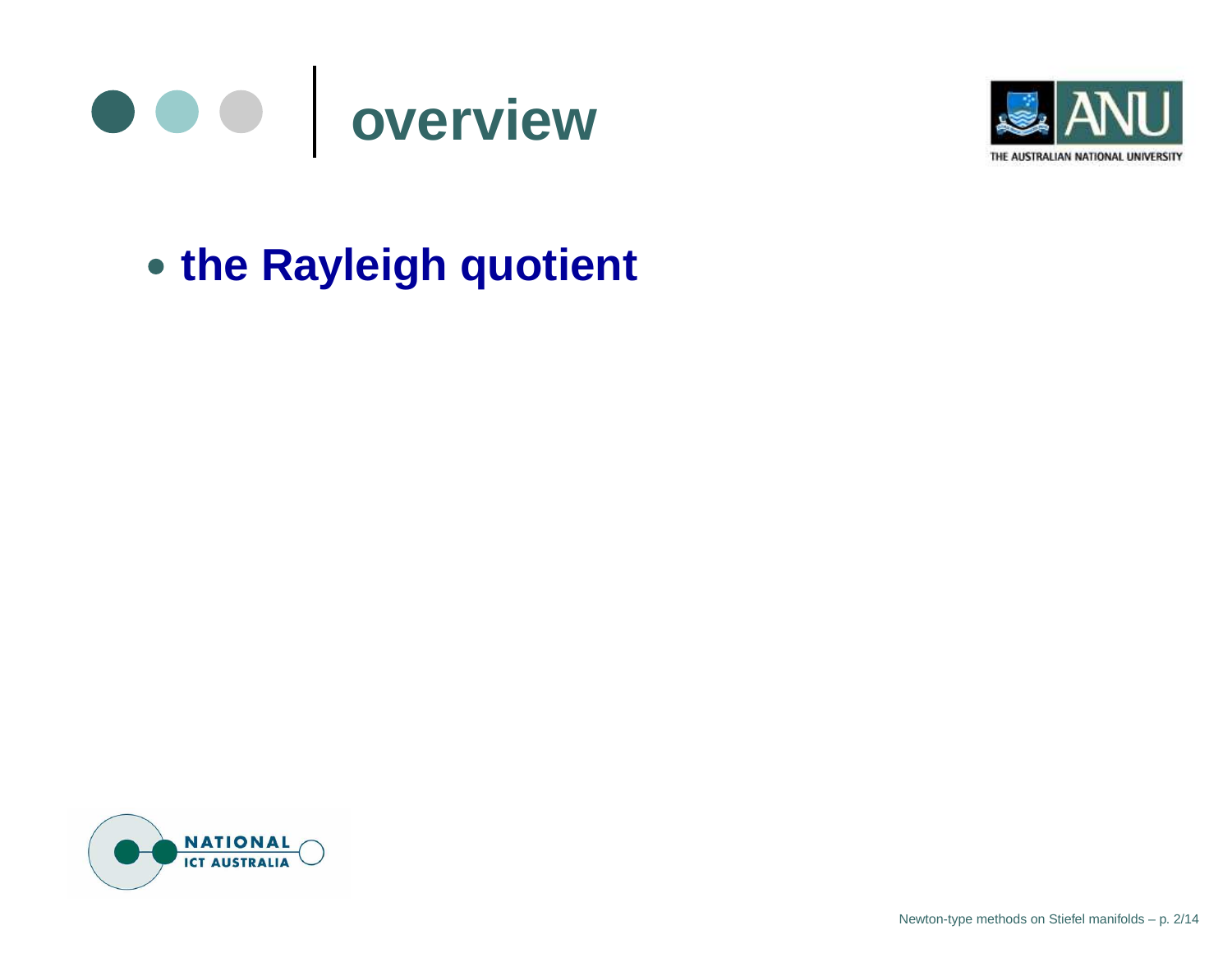



## **the Rayleigh quotient**

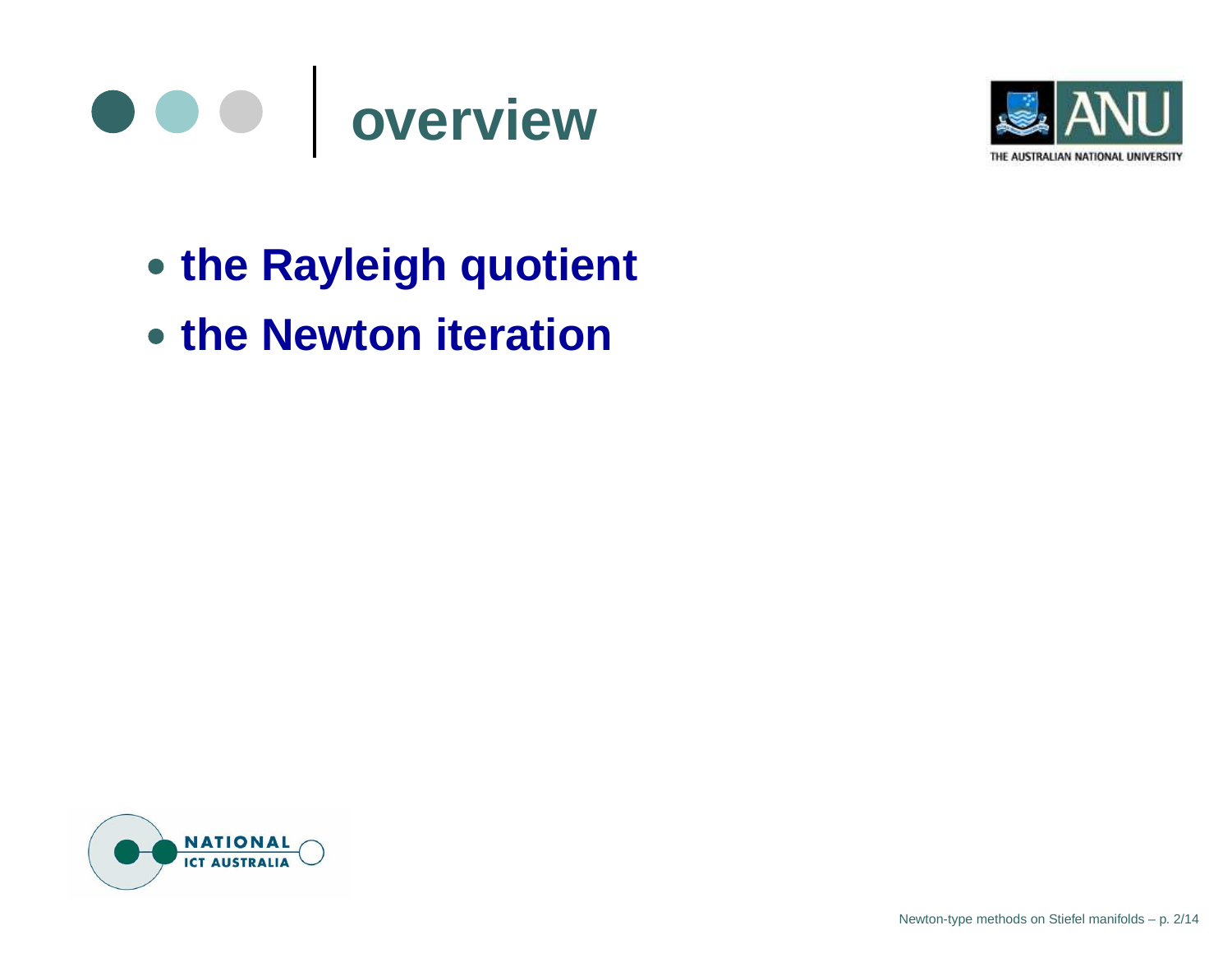



- **the Rayleigh quotient**
- **the Newton iteration**

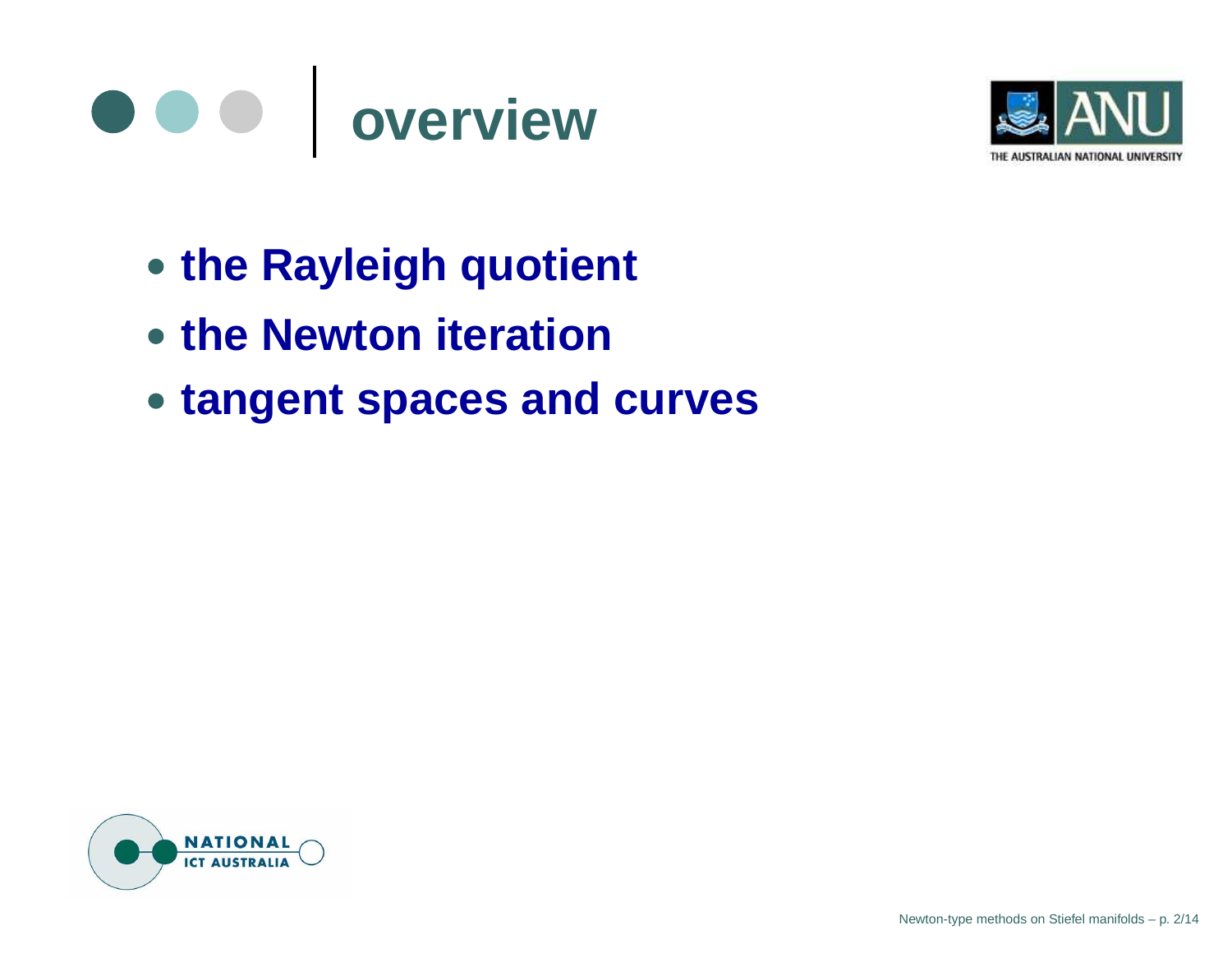



- **the Rayleigh quotient**
- **the Newton iteration**
- **tangent spaces and curves**

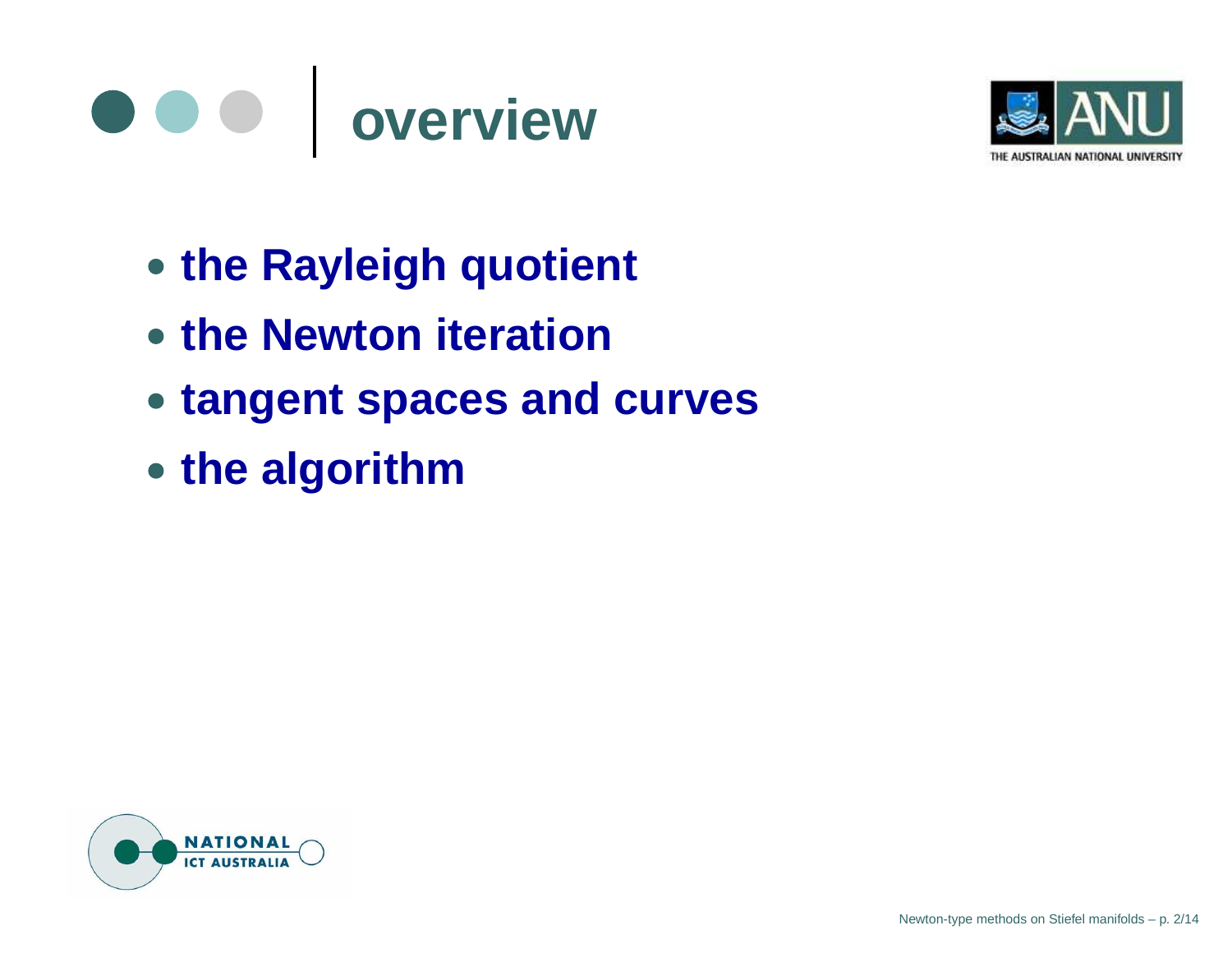



- **the Rayleigh quotient**
- **the Newton iteration**
- **tangent spaces and curves**
- **the algorithm**

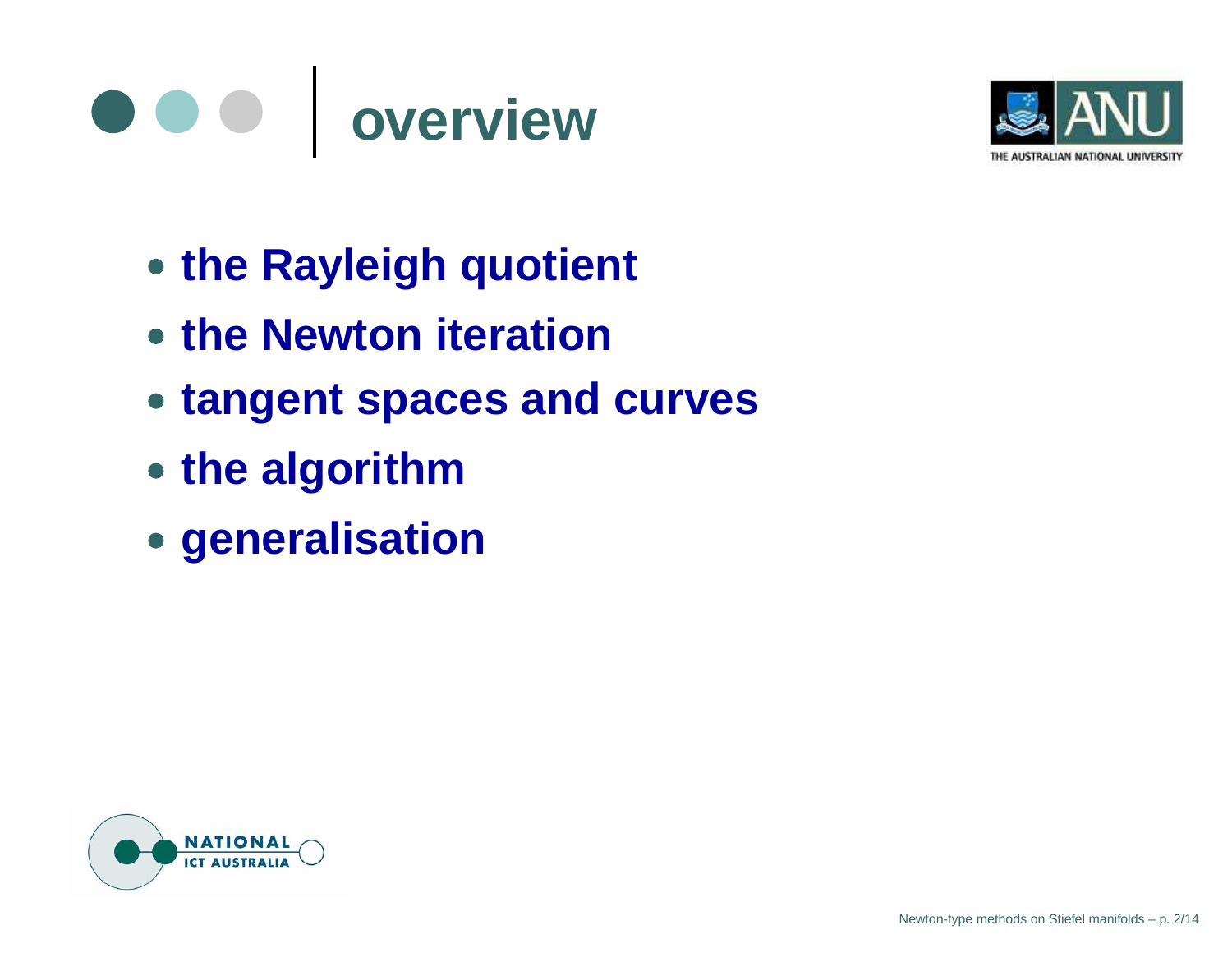#### $\bullet\bullet\bullet$ **overview**



- **the Rayleigh quotient**
- **the Newton iteration**
- **tangent spaces and curves**
- **the algorithm**
- **generalisation**

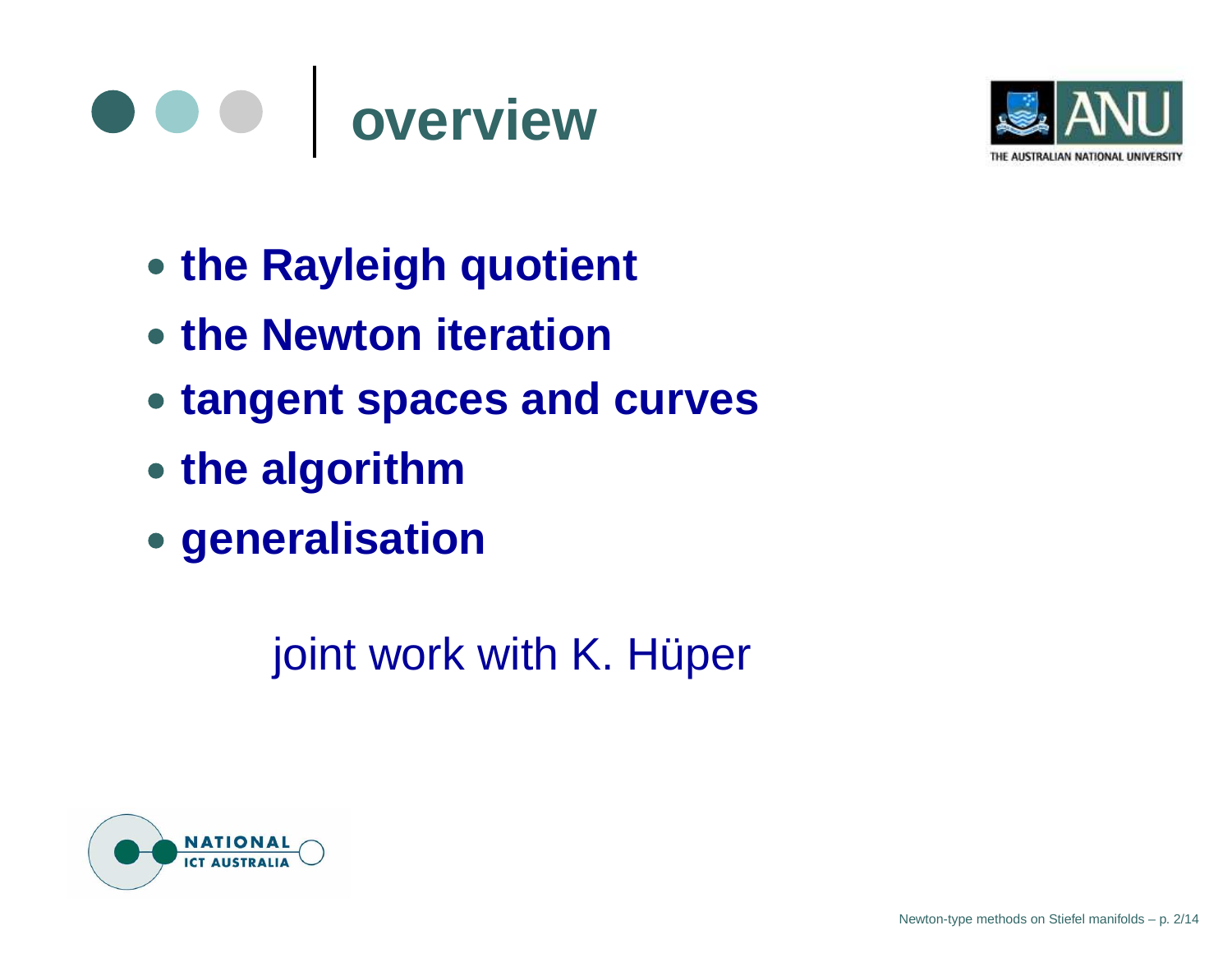#### $\bullet\bullet\bullet$ **overview**



- **the Rayleigh quotient**
- **the Newton iteration**
- **tangent spaces and curves**
- **the algorithm**
- **generalisation**

joint work with K. Hüper

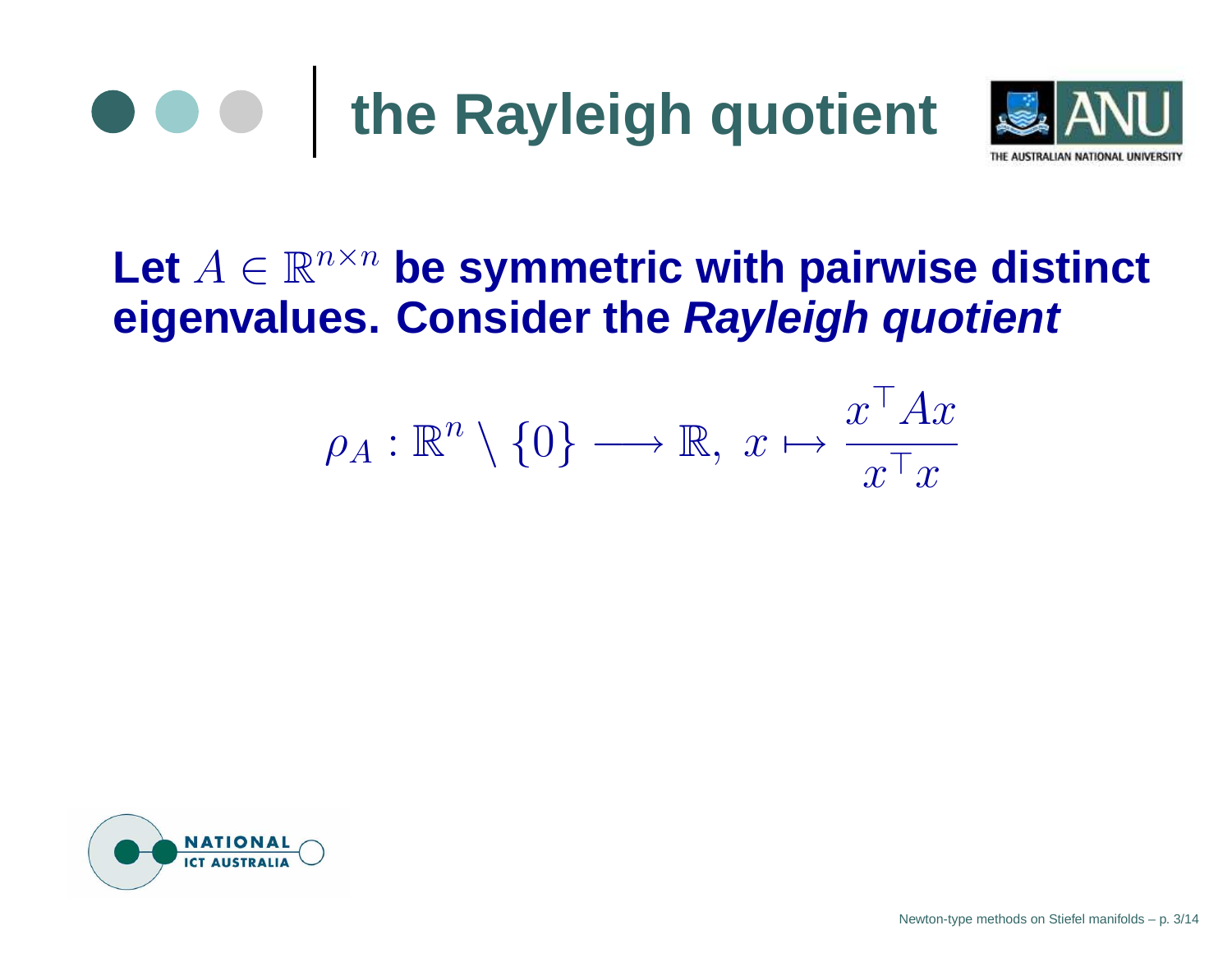



### Let  $A \in \mathbb{R}^{n \times n}$  be symmetric with pairwise distinct **eigenvalues. Consider the Rayleigh quotient**

$$
\rho_A : \mathbb{R}^n \setminus \{0\} \longrightarrow \mathbb{R}, \ x \mapsto \frac{x^\top A x}{x^\top x}
$$



Newton-type methods on Stiefel manifolds – p. 3/14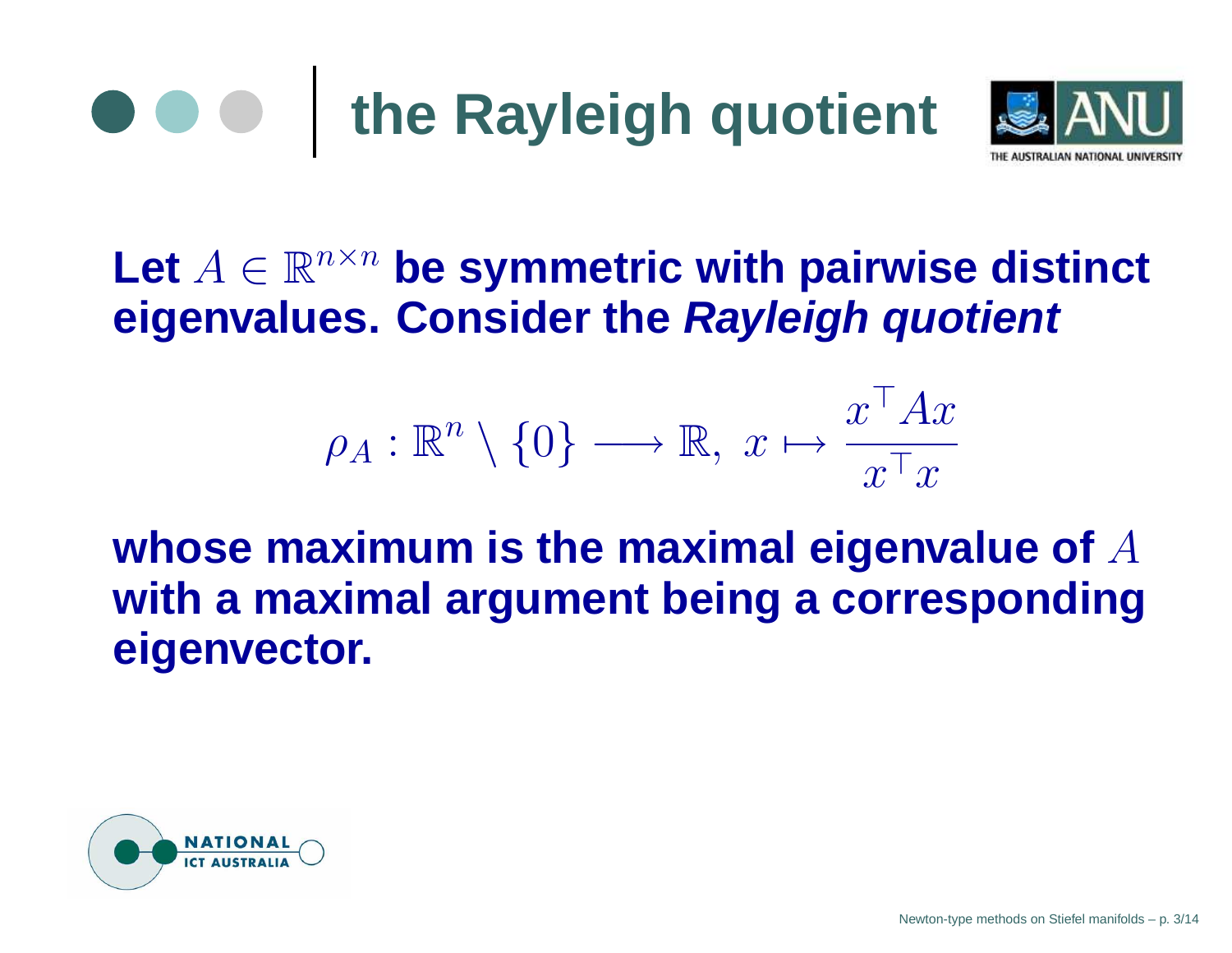



### Let  $A \in \mathbb{R}^{n \times n}$  be symmetric with pairwise distinct **eigenvalues. Consider the Rayleigh quotient**

$$
\rho_A : \mathbb{R}^n \setminus \{0\} \longrightarrow \mathbb{R}, \ x \mapsto \frac{x^\top A x}{x^\top x}
$$

#### **whose maximum is the maximal eigenvalue of** A **with <sup>a</sup> maximal argument being <sup>a</sup> corresponding eigenvector.**

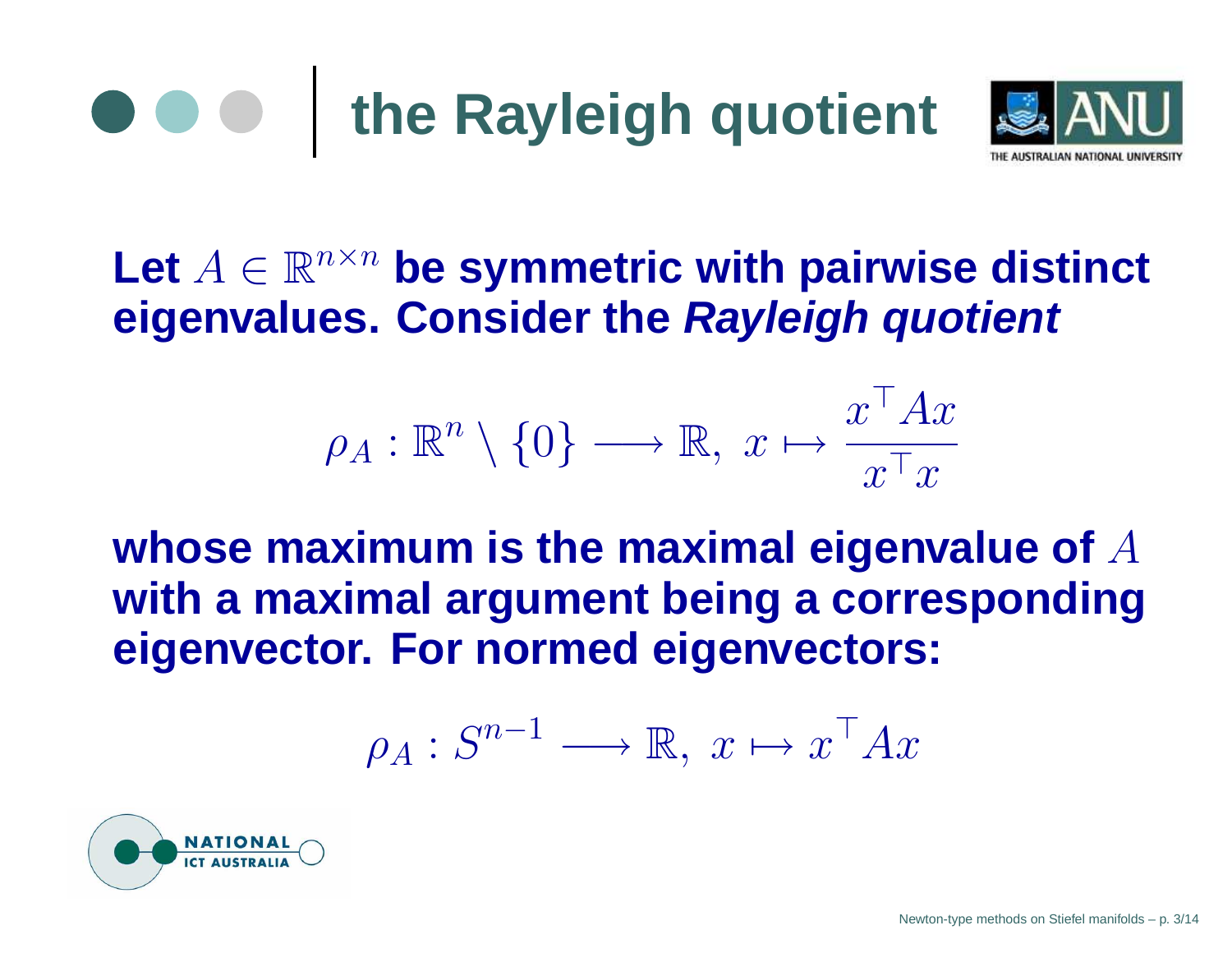



### Let  $A \in \mathbb{R}^{n \times n}$  be symmetric with pairwise distinct **eigenvalues. Consider the Rayleigh quotient**

$$
\rho_A : \mathbb{R}^n \setminus \{0\} \longrightarrow \mathbb{R}, \ x \mapsto \frac{x^\top A x}{x^\top x}
$$

**whose maximum is the maximal eigenvalue of** A **with <sup>a</sup> maximal argument being <sup>a</sup> corresponding eigenvector. For normed eigenvectors:**

$$
\rho_A: S^{n-1} \longrightarrow \mathbb{R}, \ x \mapsto x^\top A x
$$

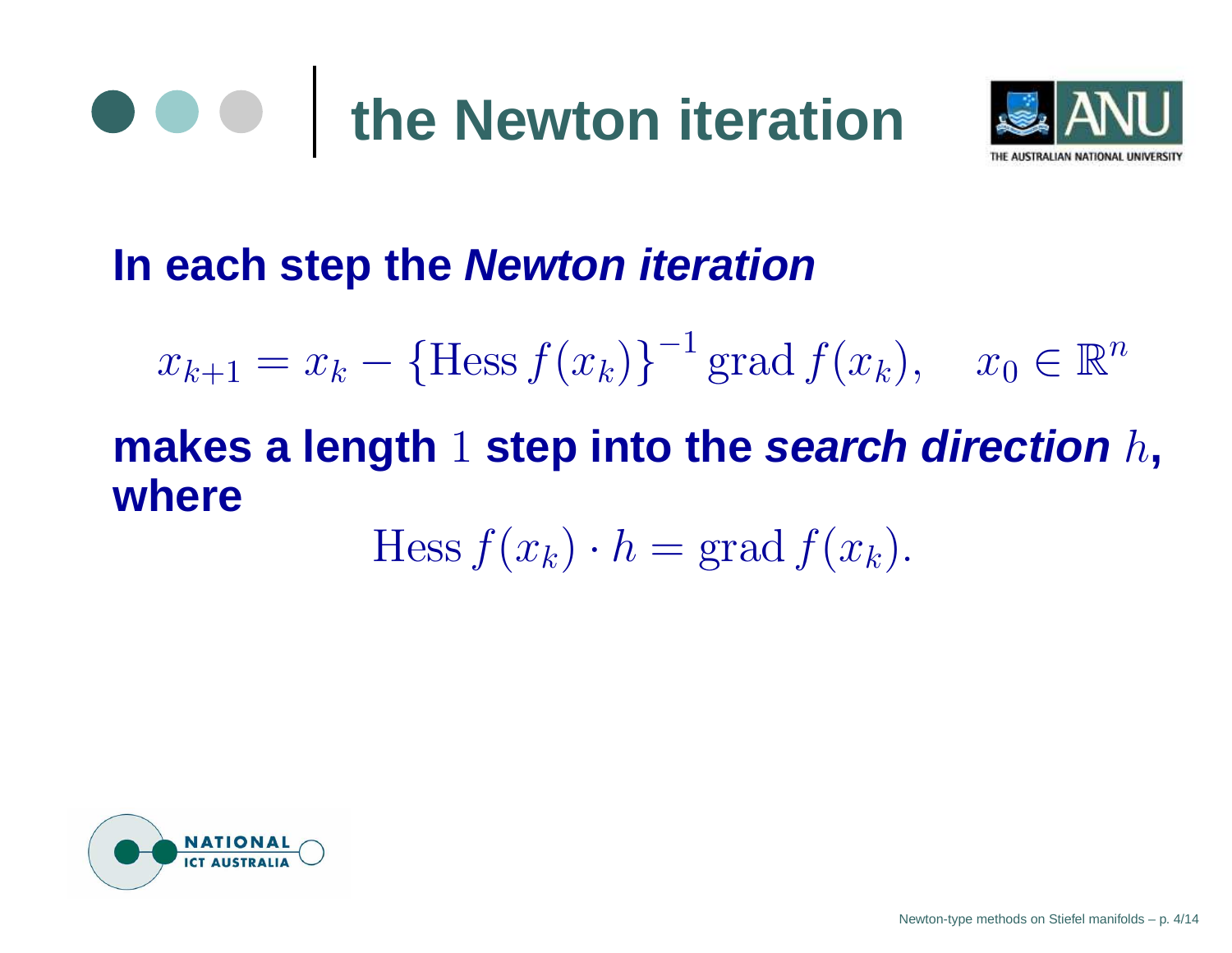# **the Newton iteration**



#### **In each step the Newton iteration**

 $x_{k+1} = x_k - {\text{Hess } f(x_k)}^{-1} \text{ grad } f(x_k), \quad x_0 \in \mathbb{R}^n$ 

## **makes <sup>a</sup> length** 1 **step into the search direction** h**, where**

$$
\text{Hess}\, f(x_k) \cdot h = \text{grad}\, f(x_k).
$$

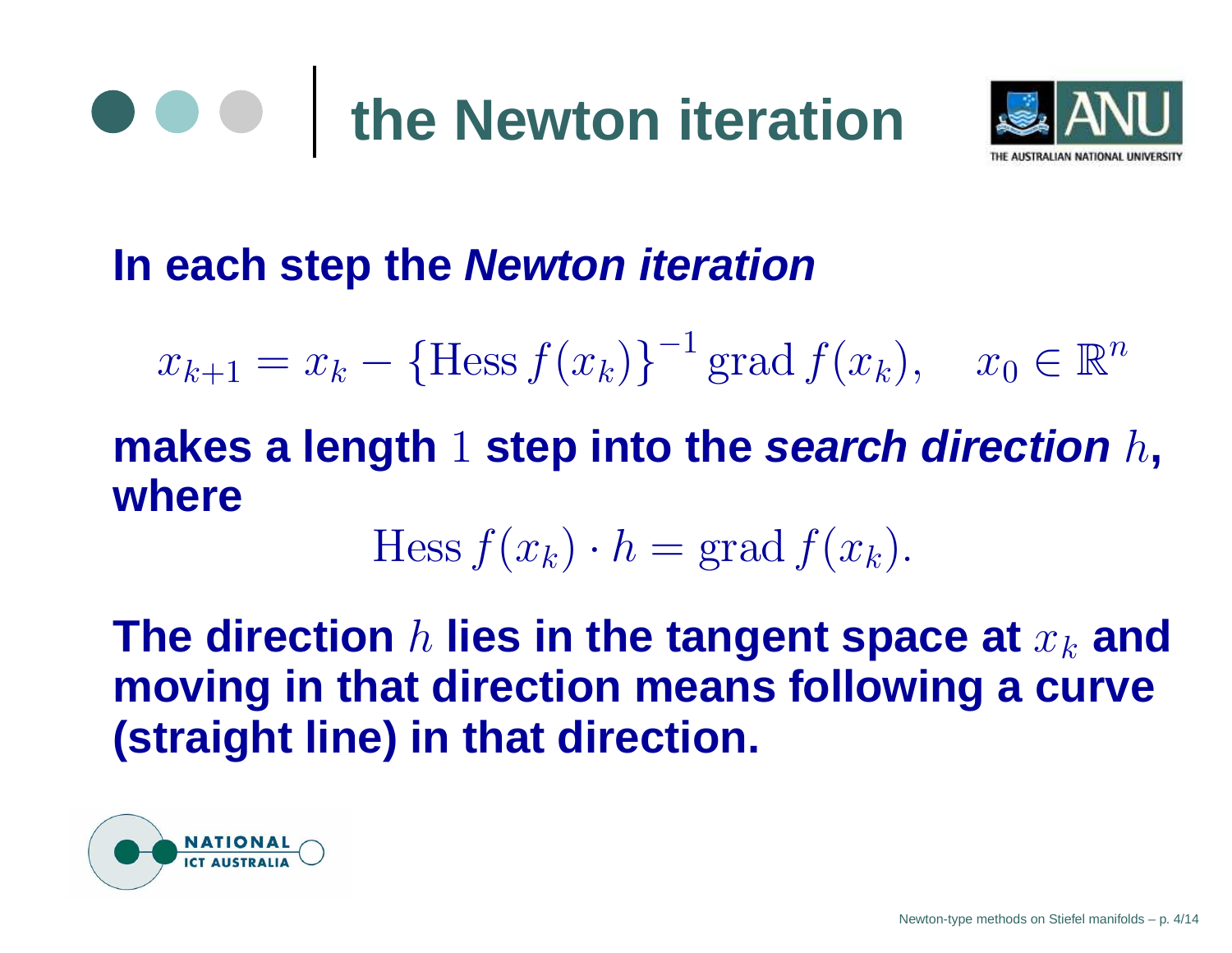

#### **In each step the Newton iteration**

$$
x_{k+1} = x_k - {\text{Hess } f(x_k)}^{-1} \text{ grad } f(x_k), \quad x_0 \in \mathbb{R}^n
$$

#### **makes <sup>a</sup> length** 1 **step into the search direction** h**, where**

$$
\mathrm{Hess}\, f(x_k) \cdot h = \mathrm{grad}\, f(x_k).
$$

The direction  $h$  lies in the tangent space at  $x_k$  and **moving in that direction means following <sup>a</sup> curve (straight line) in that direction.**

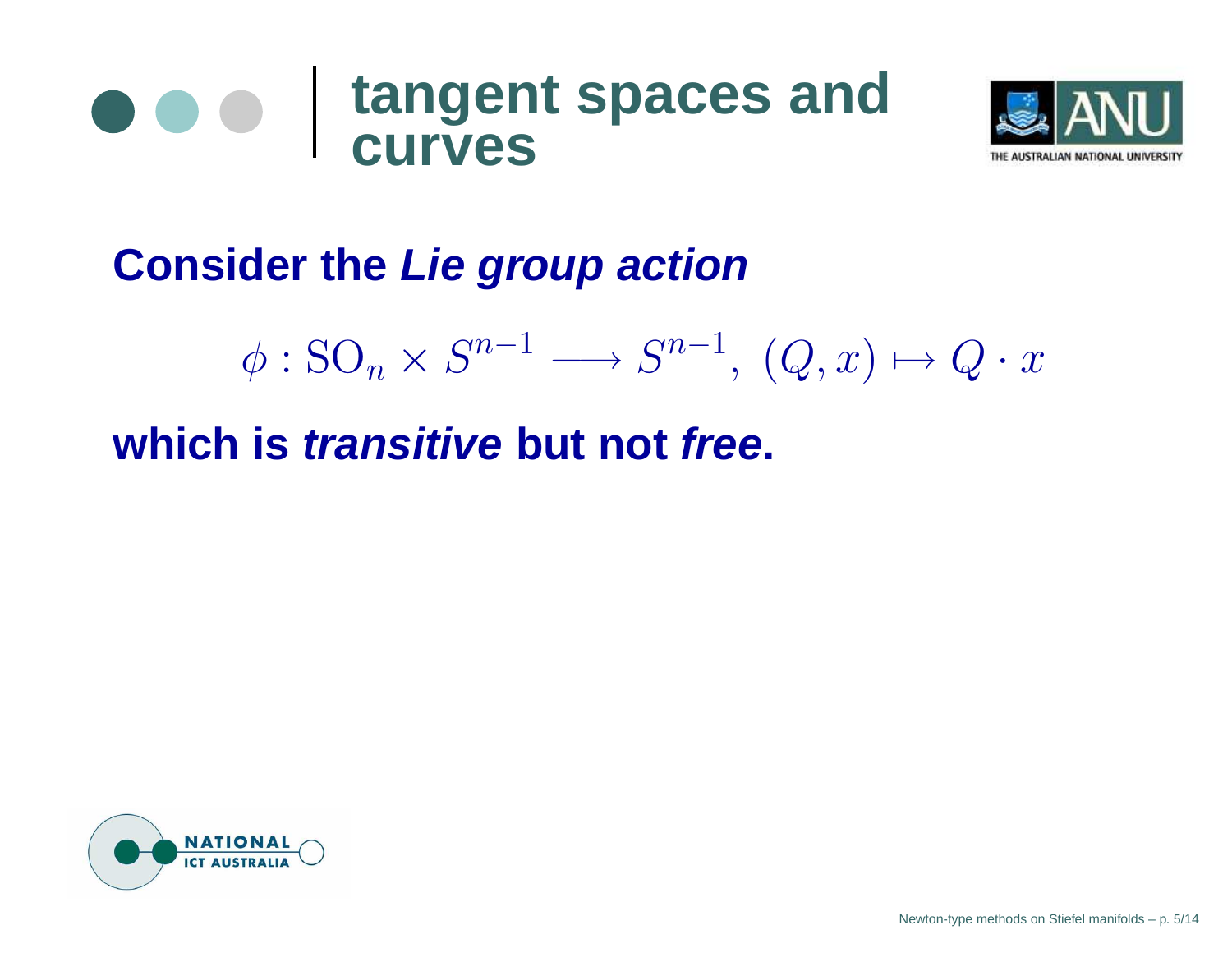



**Consider the Lie group action**

$$
\phi: \mathrm{SO}_n \times S^{n-1} \longrightarrow S^{n-1}, \ (Q, x) \mapsto Q \cdot x
$$

**which is transitive but not free.**

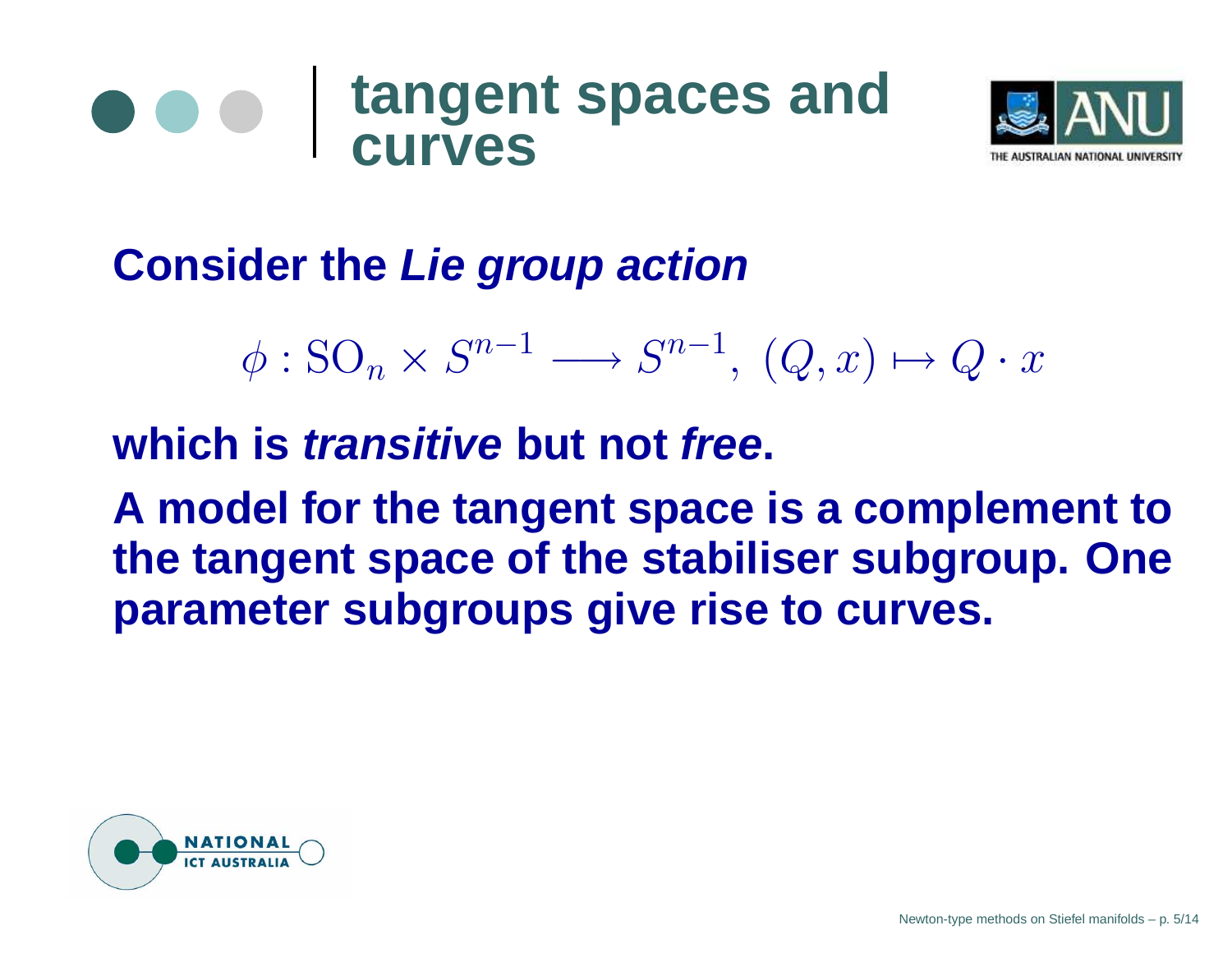



**Consider the Lie group action**

 $\phi : SO_n \times S^{n-1} \longrightarrow S^{n-1}, (Q, x) \mapsto Q \cdot x$ 

**which is transitive but not free.**

**A model for the tangent space is <sup>a</sup> complement to the tangent space of the stabiliser subgroup. One parameter subgroups give rise to curves.**

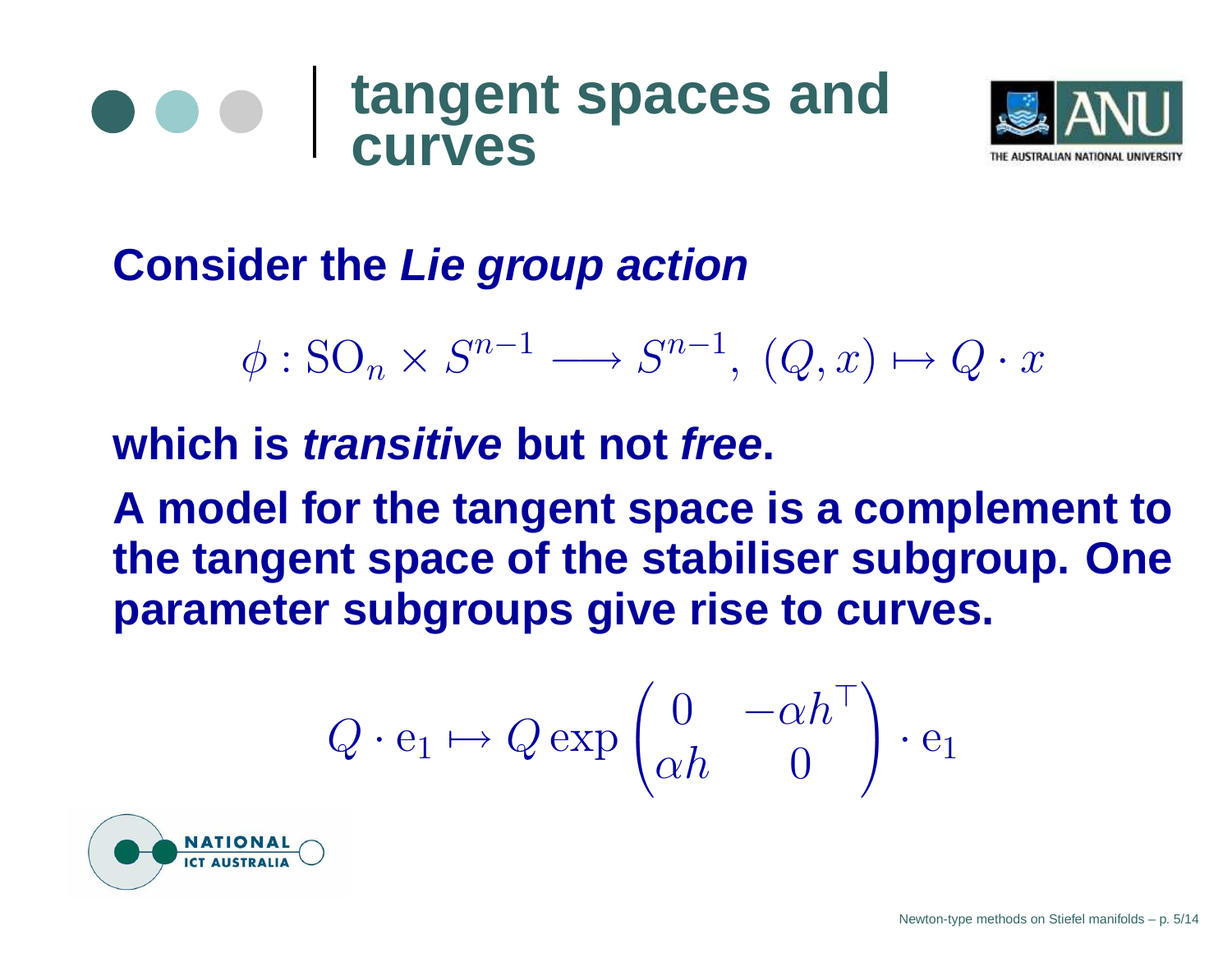



**Consider the Lie group action**

 $\phi : SO_n \times S^{n-1} \longrightarrow S^{n-1}, (Q, x) \mapsto Q \cdot x$ 

**which is transitive but not free.**

**A model for the tangent space is <sup>a</sup> complement to the tangent space of the stabiliser subgroup. One parameter subgroups give rise to curves.**

$$
Q \cdot \mathbf{e}_1 \mapsto Q \exp \begin{pmatrix} 0 & -\alpha h^\top \\ \alpha h & 0 \end{pmatrix} \cdot \mathbf{e}_1
$$

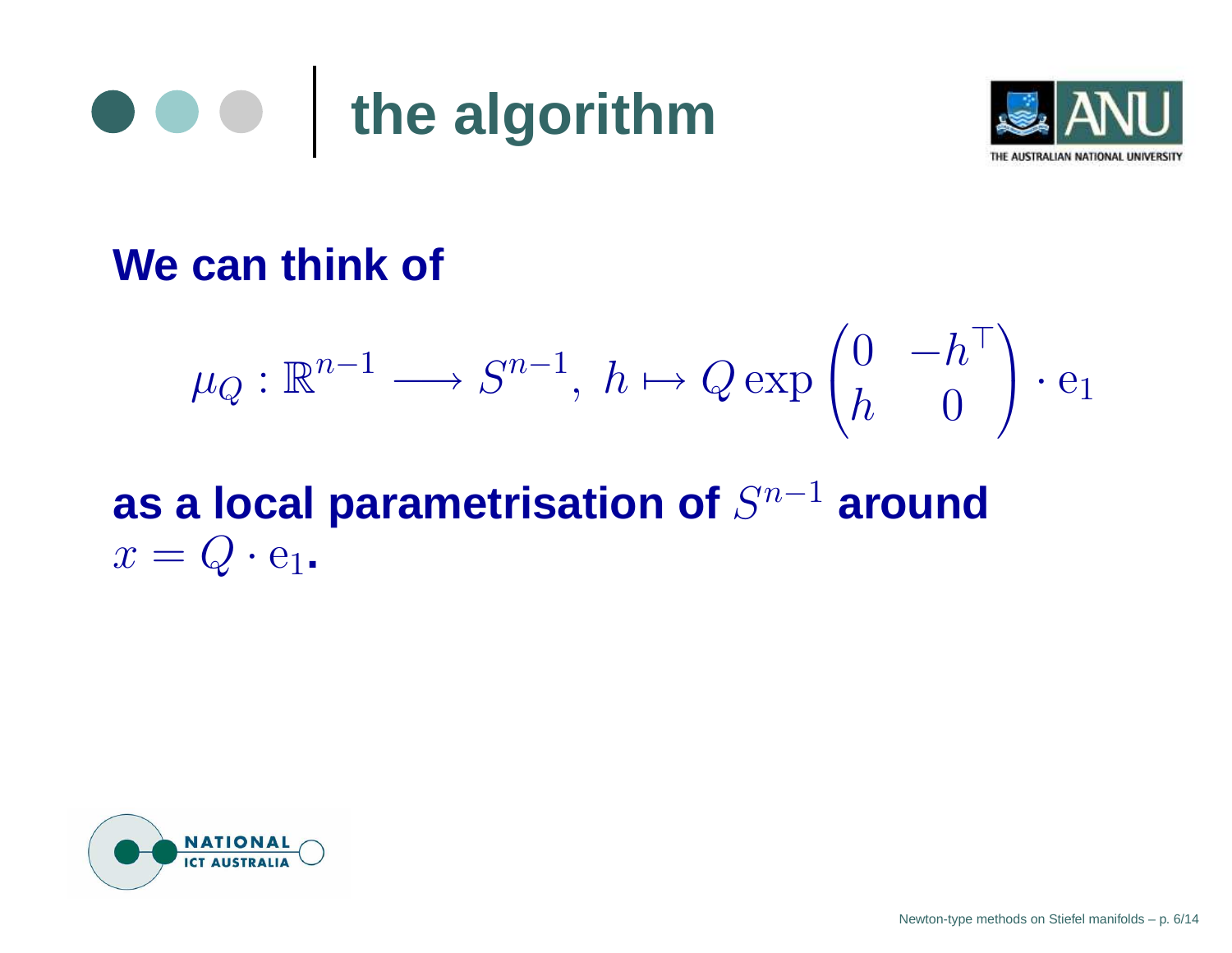



#### **We can think of**

$$
\mu_Q : \mathbb{R}^{n-1} \longrightarrow S^{n-1}, \ h \mapsto Q \exp \begin{pmatrix} 0 & -h^{\top} \\ h & 0 \end{pmatrix} \cdot e_1
$$

**as** a local parametrisation of  $S^{n-1}$  around  $x=Q\cdot {\rm e}_1$ .

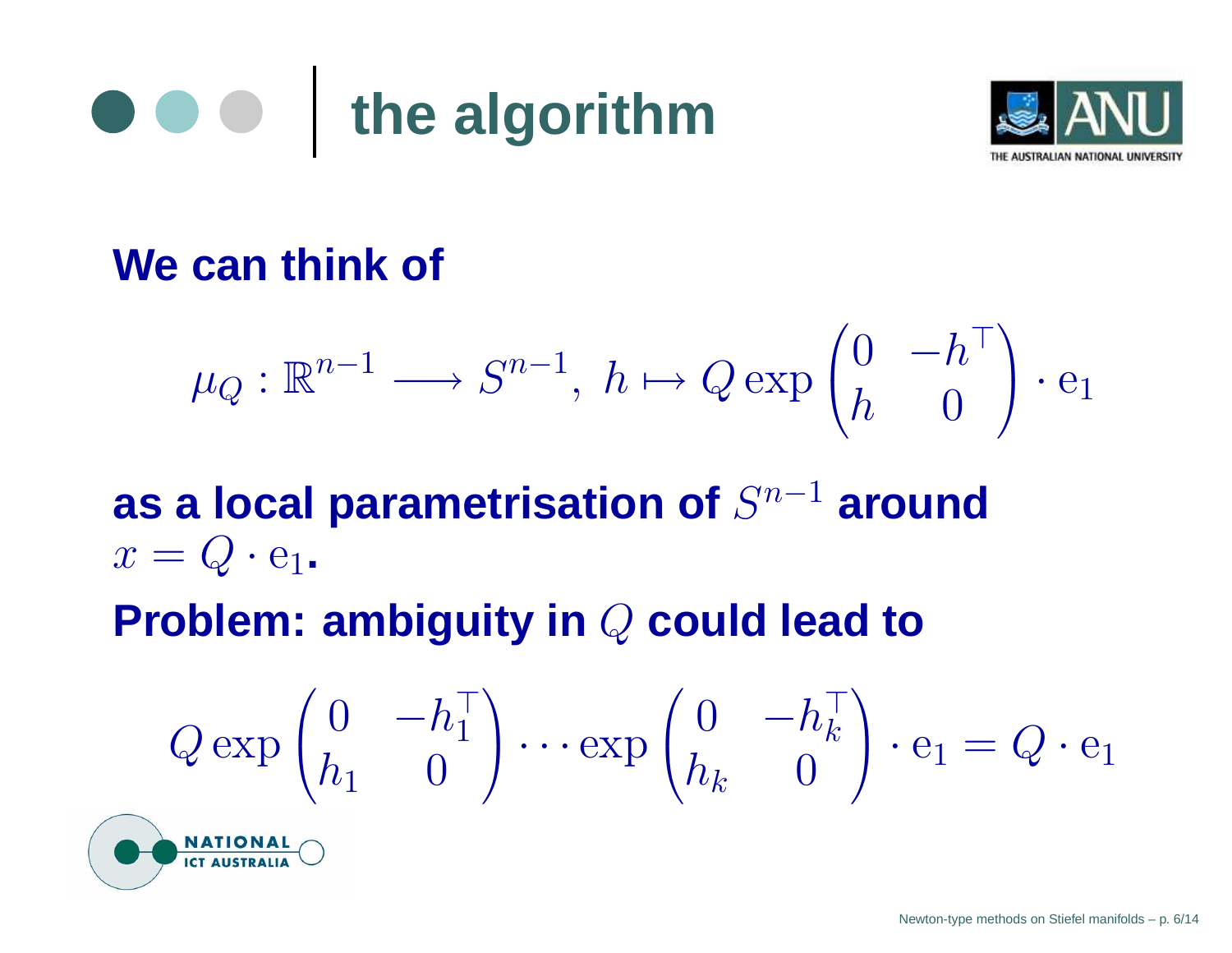



#### **We can think of**

$$
\mu_Q : \mathbb{R}^{n-1} \longrightarrow S^{n-1}, \ h \mapsto Q \exp \begin{pmatrix} 0 & -h^{\top} \\ h & 0 \end{pmatrix} \cdot e_1
$$

**as** a local parametrisation of  $S^{n-1}$  around  $x=Q\cdot {\rm e}_1$ .

#### **Problem: ambiguity in** Q **could lead to**

$$
Q \exp \begin{pmatrix} 0 & -h_1^{\top} \\ h_1 & 0 \end{pmatrix} \cdots \exp \begin{pmatrix} 0 & -h_k^{\top} \\ h_k & 0 \end{pmatrix} \cdot e_1 = Q \cdot e_1
$$

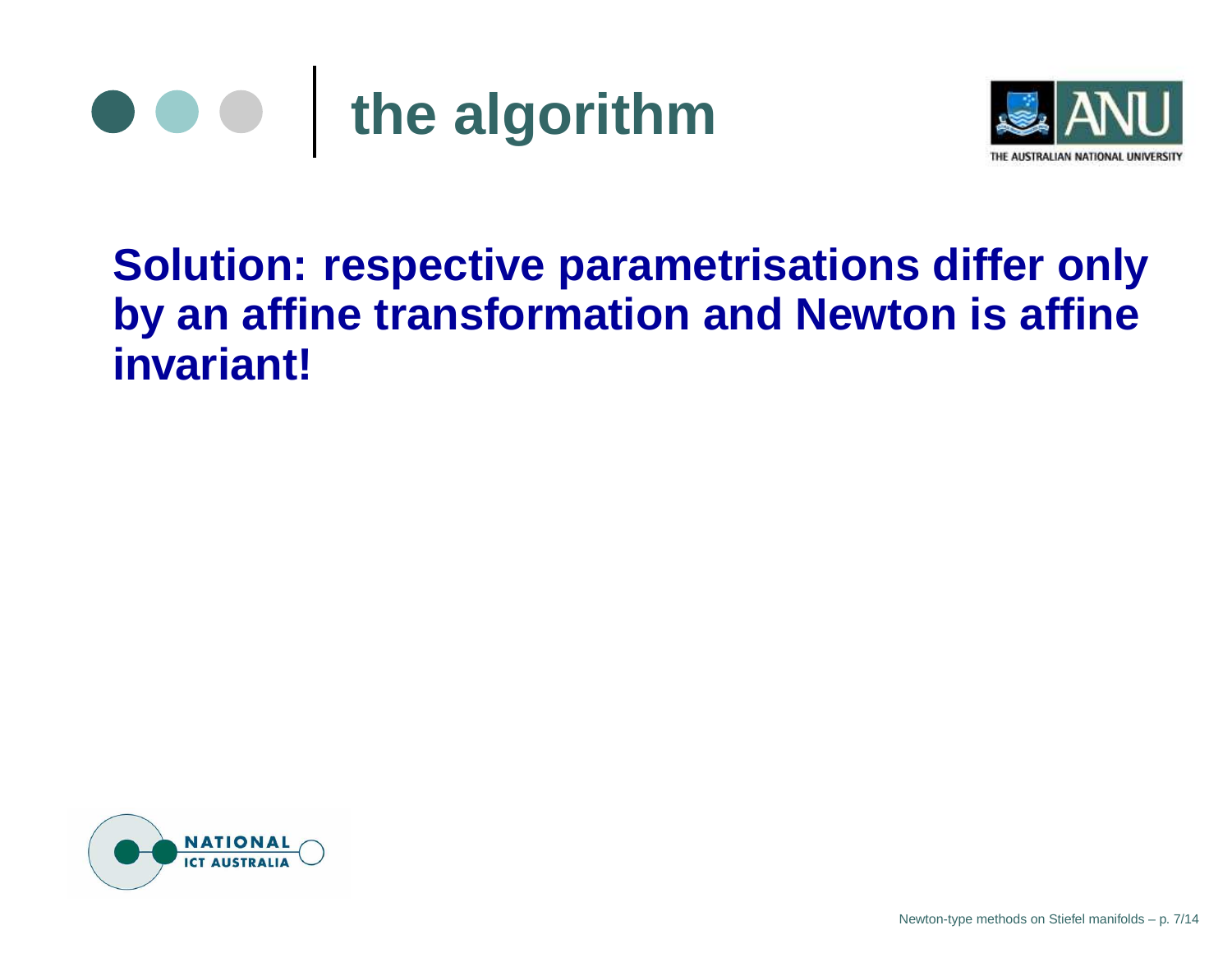



#### **Solution: respective parametrisations differ only by an affine transformation and Newton is affine invariant!**

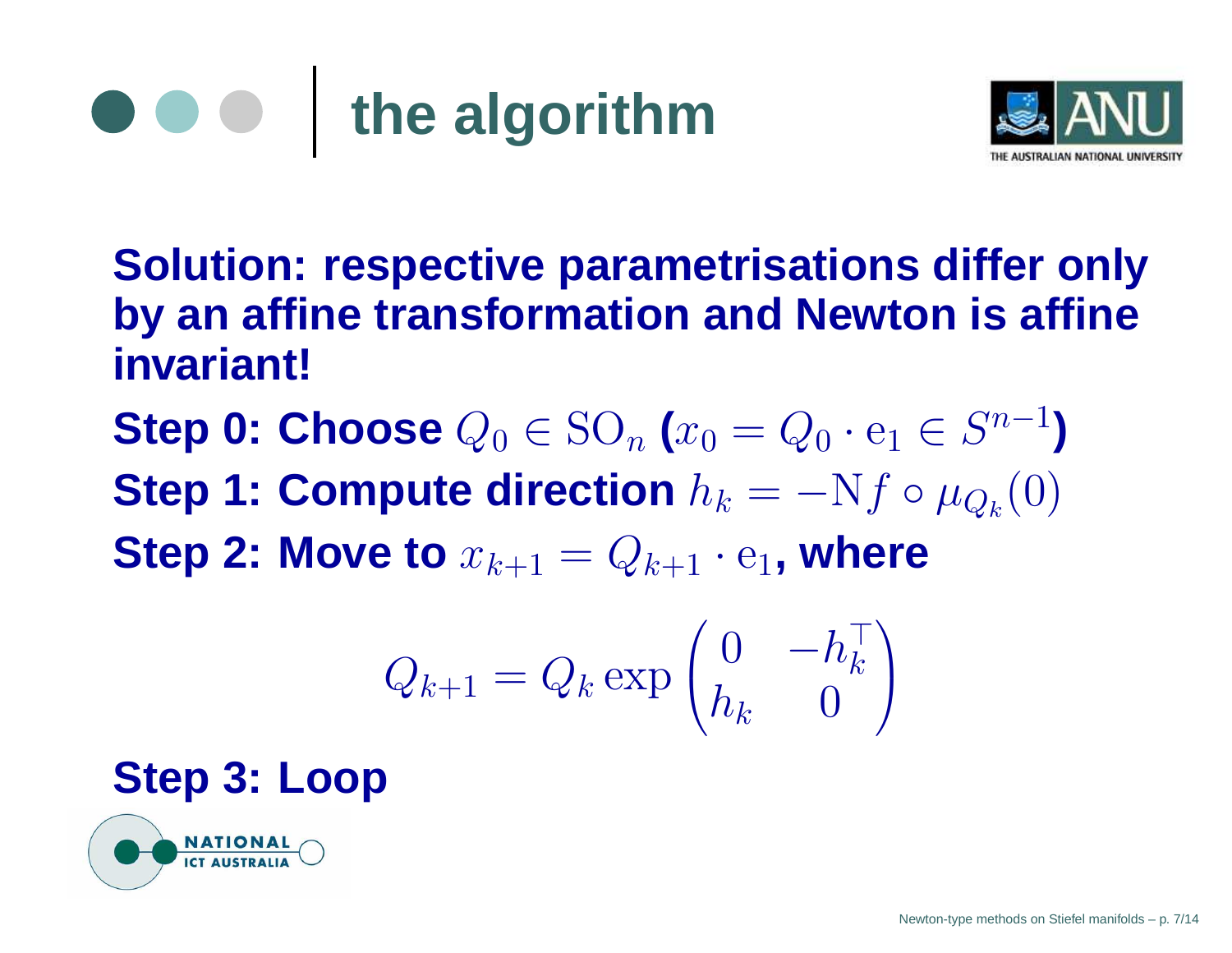



**Solution: respective parametrisations differ only by an affine transformation and Newton is affine invariant!**

**Step 0: Choose**  $Q_0 \in \text{SO}_n$  ( $x_0 = Q_0 \cdot e_1 \in S^{n-1}$ ) **Step 1: Compute direction**  $h_k = -Nf \circ \mu_{Q_k}(0)$ **Step 2: Move to**  $x_{k+1} = Q_{k+1} \cdot e_1$ , where

$$
Q_{k+1} = Q_k \exp \begin{pmatrix} 0 & -h_k^\top \\ h_k & 0 \end{pmatrix}
$$

#### **Step 3: Loop**

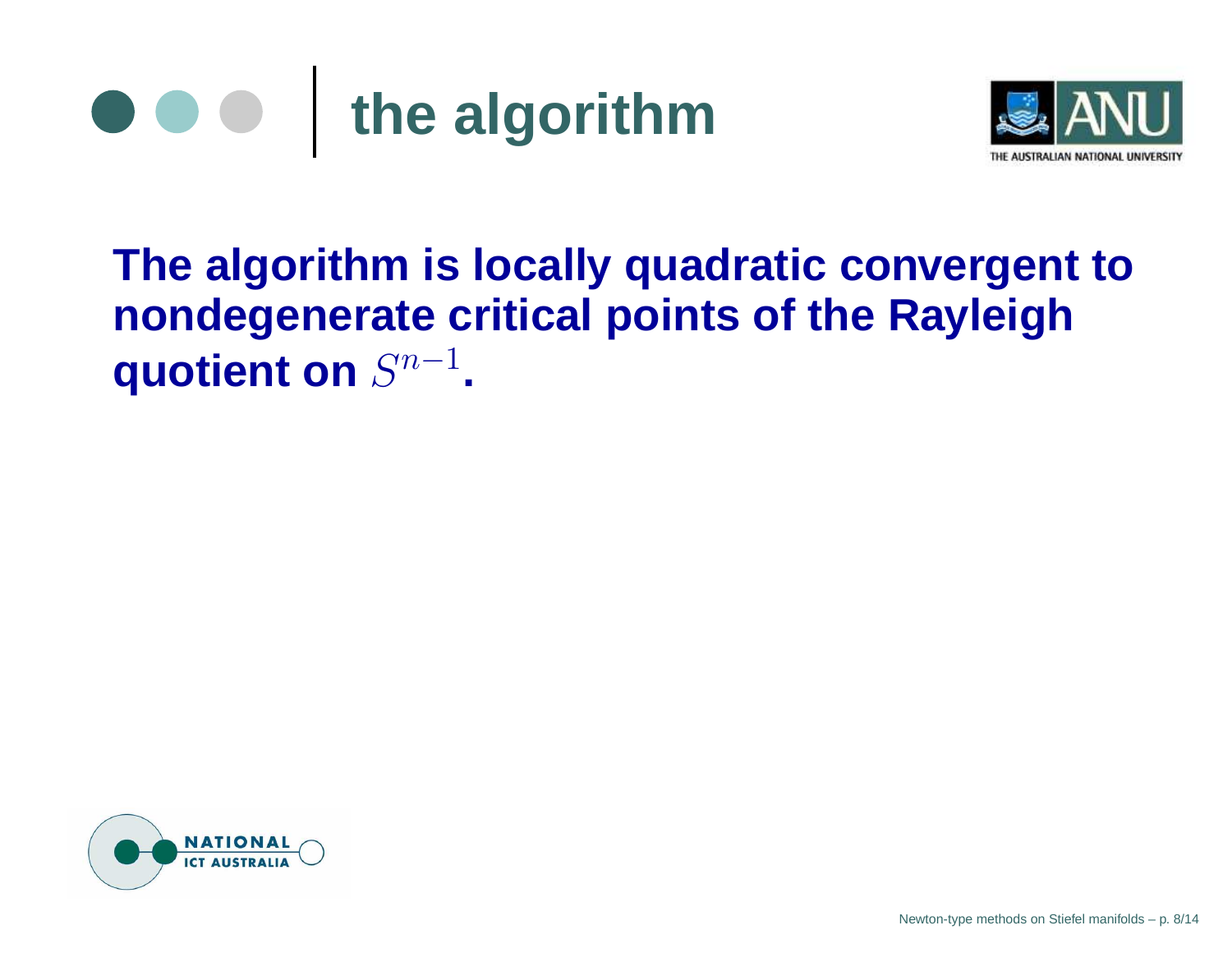



## **The algorithm is locally quadratic convergent to nondegenerate critical points of the Rayleigh quotient on**  $S^{n-1}$ .

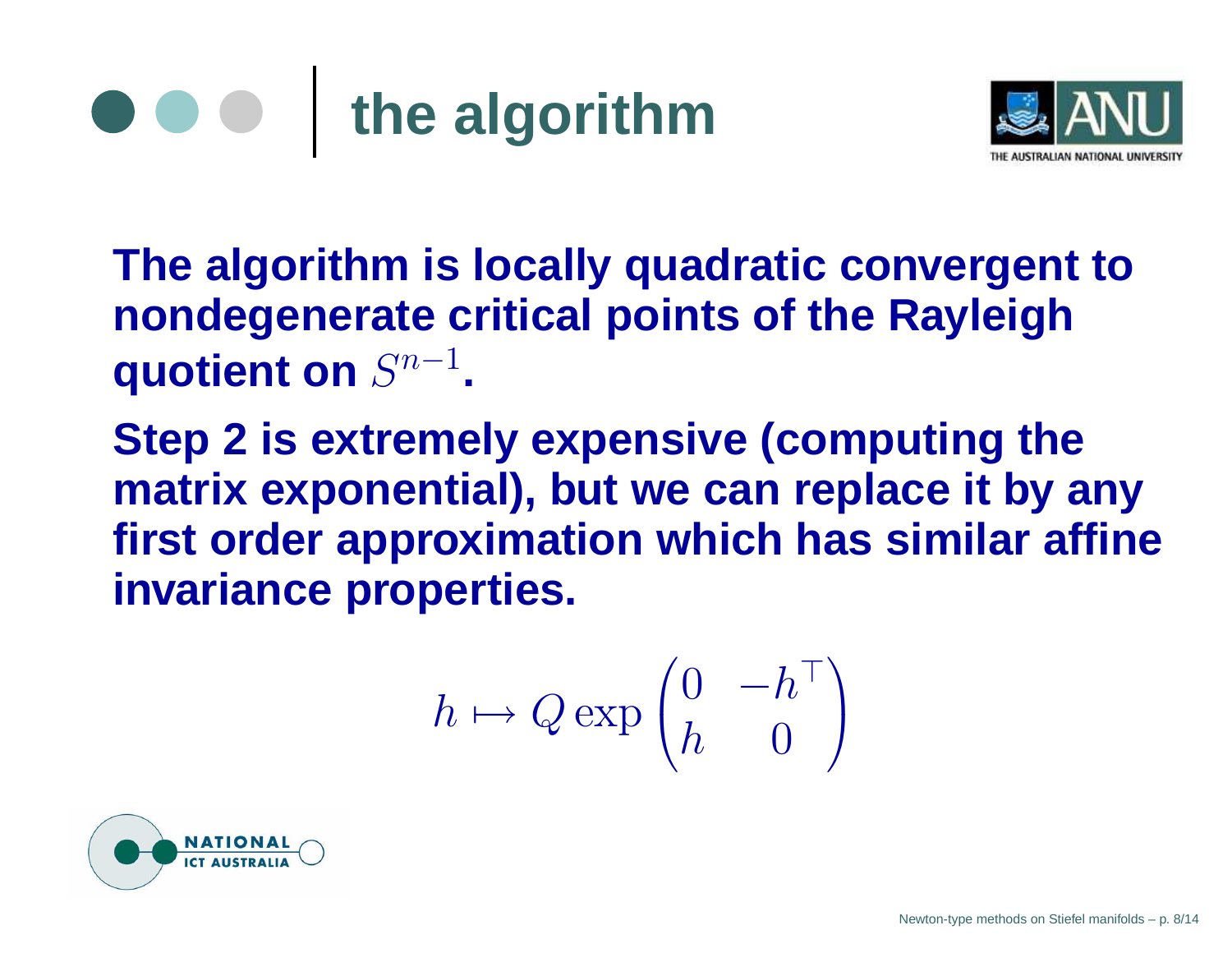



**The algorithm is locally quadratic convergent to nondegenerate critical points of the Rayleigh quotient** on  $S^{n-1}$ .

**Step 2 is extremely expensive (computing the matrix exponential), but we can replace it by any first order approximation which has similar affine invariance properties.**

$$
h \mapsto Q \exp \begin{pmatrix} 0 & -h^{\top} \\ h & 0 \end{pmatrix}
$$

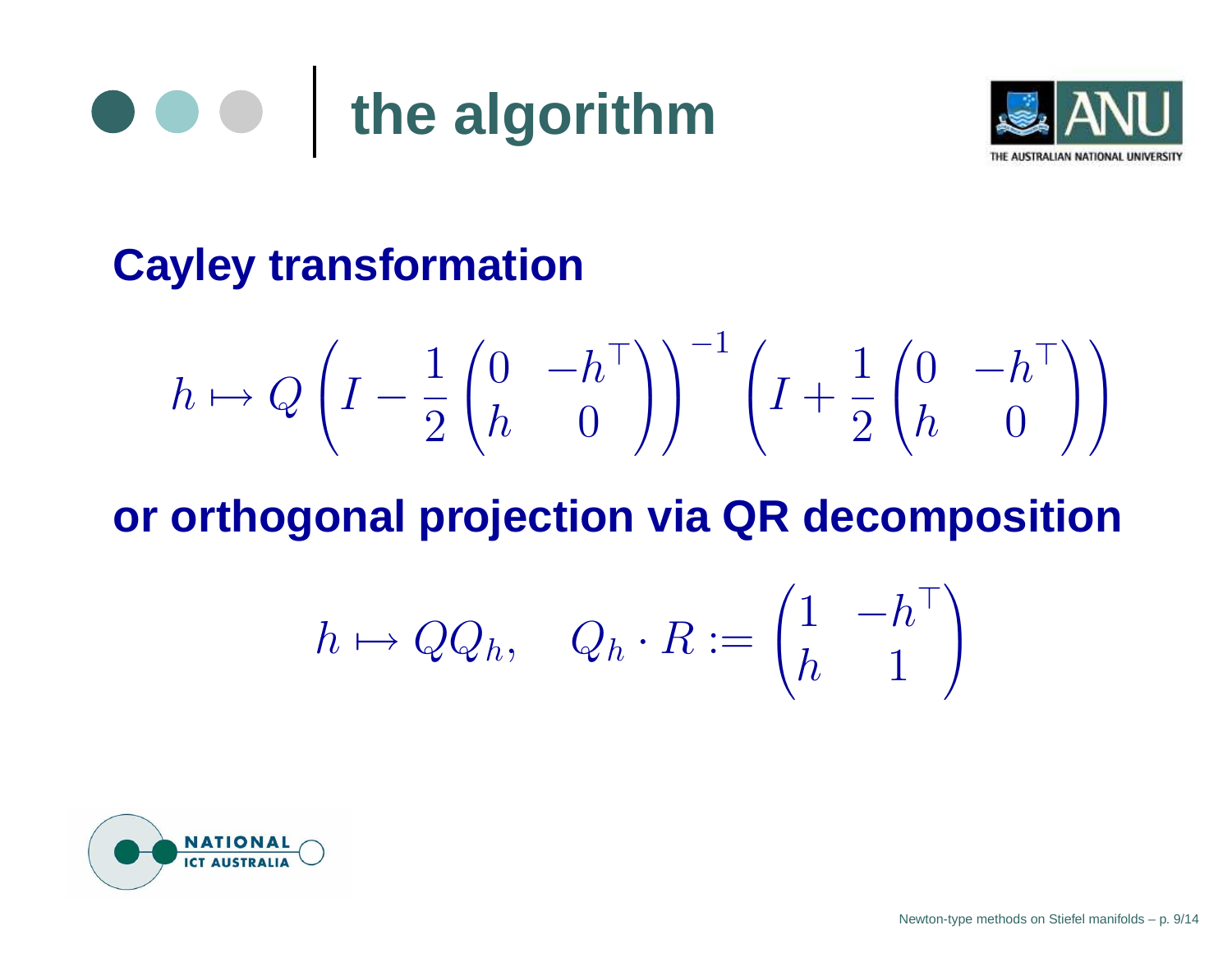



### **Cayley transformation**

$$
h \mapsto Q\left(I - \frac{1}{2}\begin{pmatrix}0 & -h^{\top}\\h & 0\end{pmatrix}\right)^{-1}\left(I + \frac{1}{2}\begin{pmatrix}0 & -h^{\top}\\h & 0\end{pmatrix}\right)
$$

#### **or orthogonal projection via QR decomposition**

$$
h \mapsto QQ_h, \quad Q_h \cdot R := \begin{pmatrix} 1 & -h^{\top} \\ h & 1 \end{pmatrix}
$$

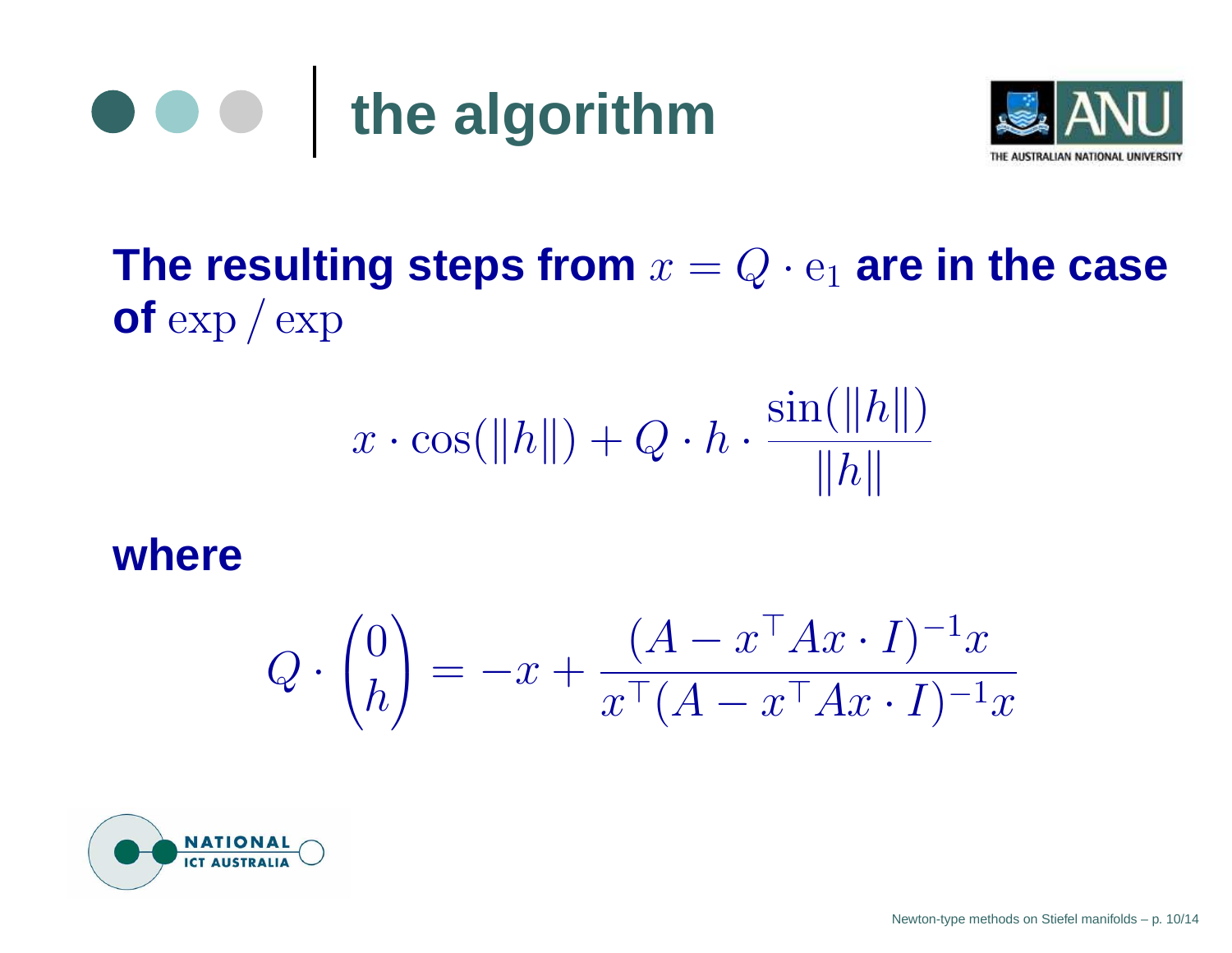



The resulting steps from  $x=Q\cdot \mathrm{e}_1$  are in the case **of** exp / exp

$$
x \cdot \cos(\|h\|) + Q \cdot h \cdot \frac{\sin(\|h\|)}{\|h\|}
$$

#### **where**

$$
Q \cdot \begin{pmatrix} 0 \\ h \end{pmatrix} = -x + \frac{(A - x^\top A x \cdot I)^{-1} x}{x^\top (A - x^\top A x \cdot I)^{-1} x}
$$

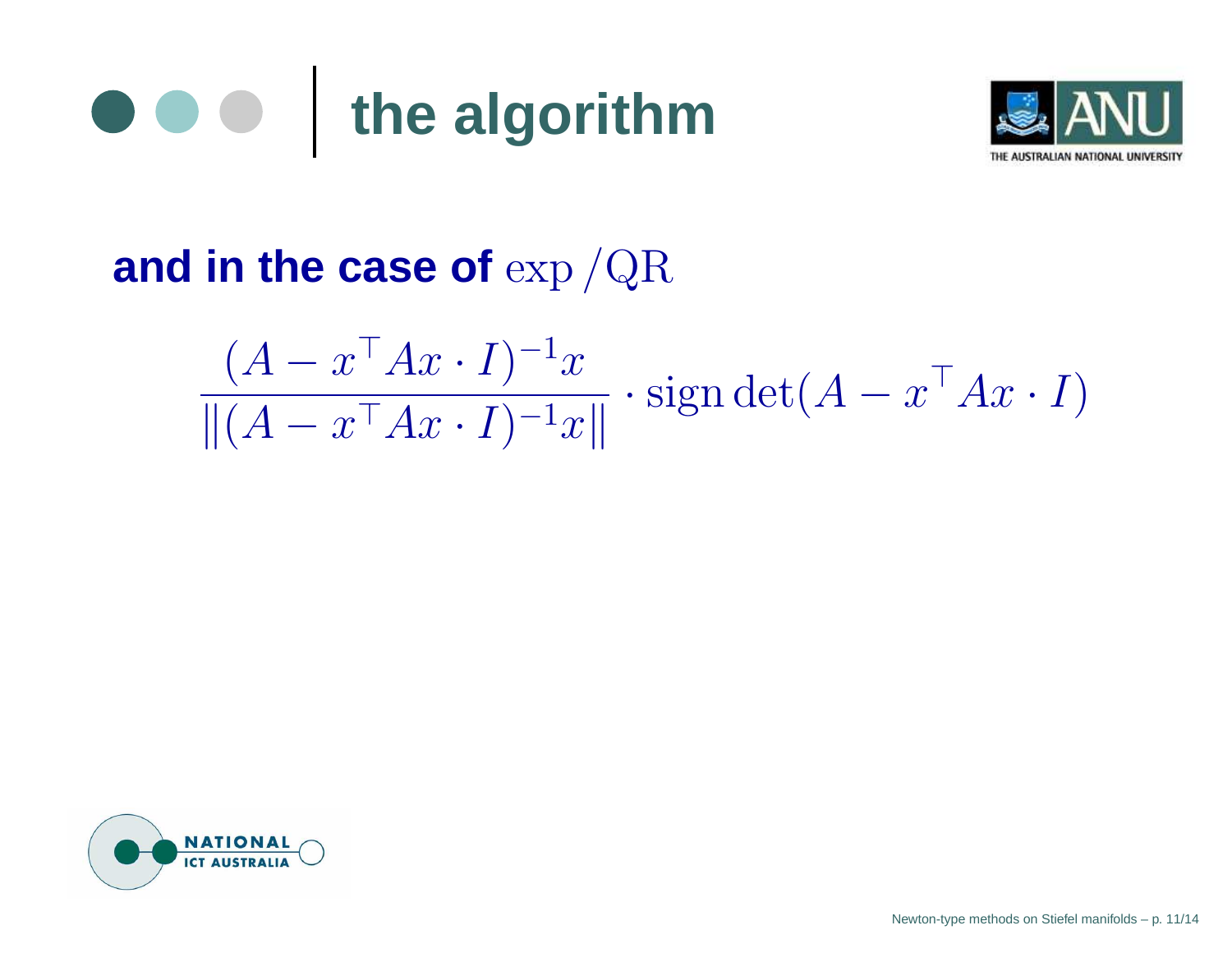



### **and in the case of** exp /QR

$$
\frac{(A - x^\top A x \cdot I)^{-1} x}{\|(A - x^\top A x \cdot I)^{-1} x\|} \cdot \operatorname{sign} \det(A - x^\top A x \cdot I)
$$

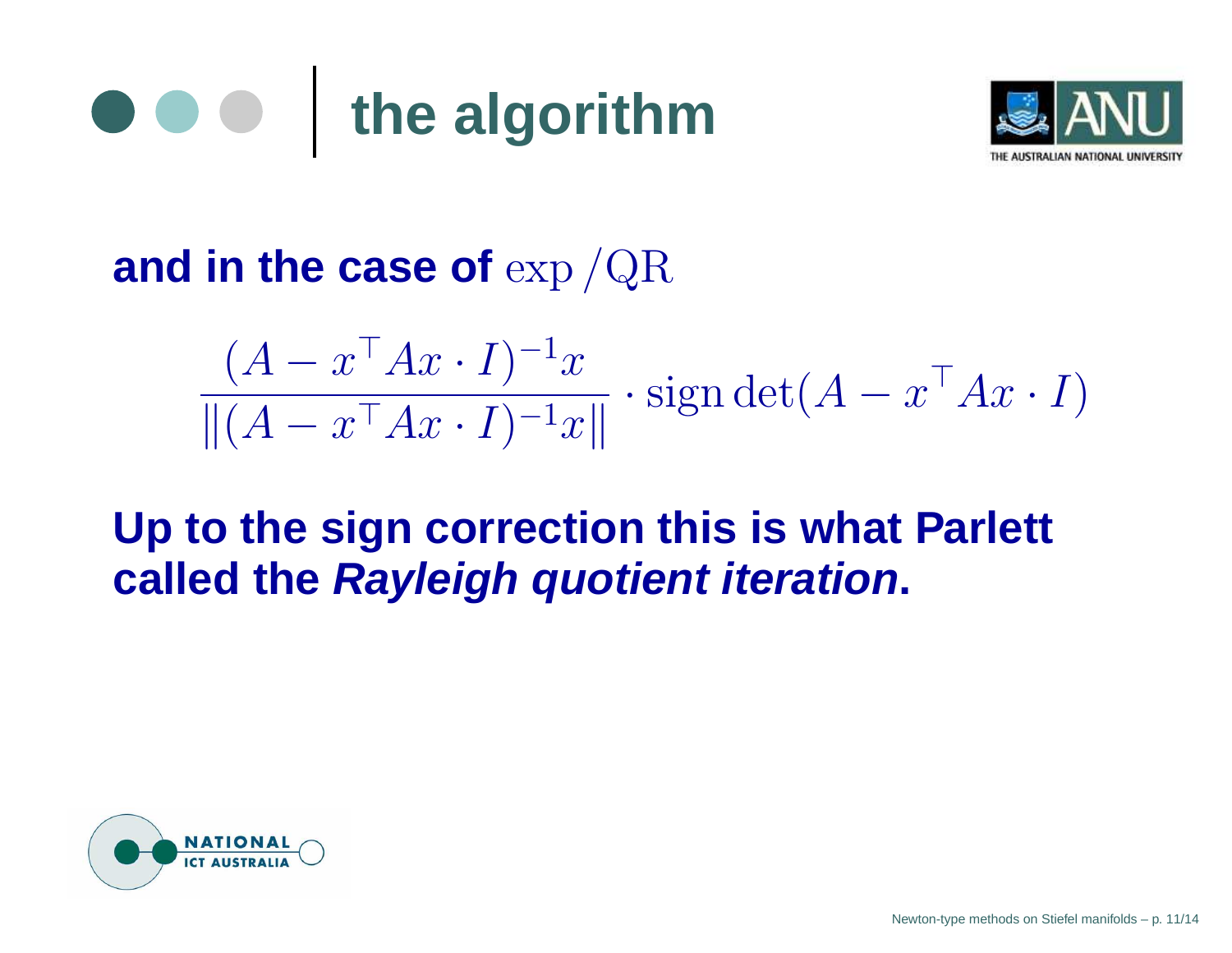



#### **and in the case of** exp /QR

$$
\frac{(A - x^{\top}Ax \cdot I)^{-1}x}{\|(A - x^{\top}Ax \cdot I)^{-1}x\|} \cdot \text{sign} \det(A - x^{\top}Ax \cdot I)
$$

#### **Up to the sign correction this is what Parlett called the Rayleigh quotient iteration.**

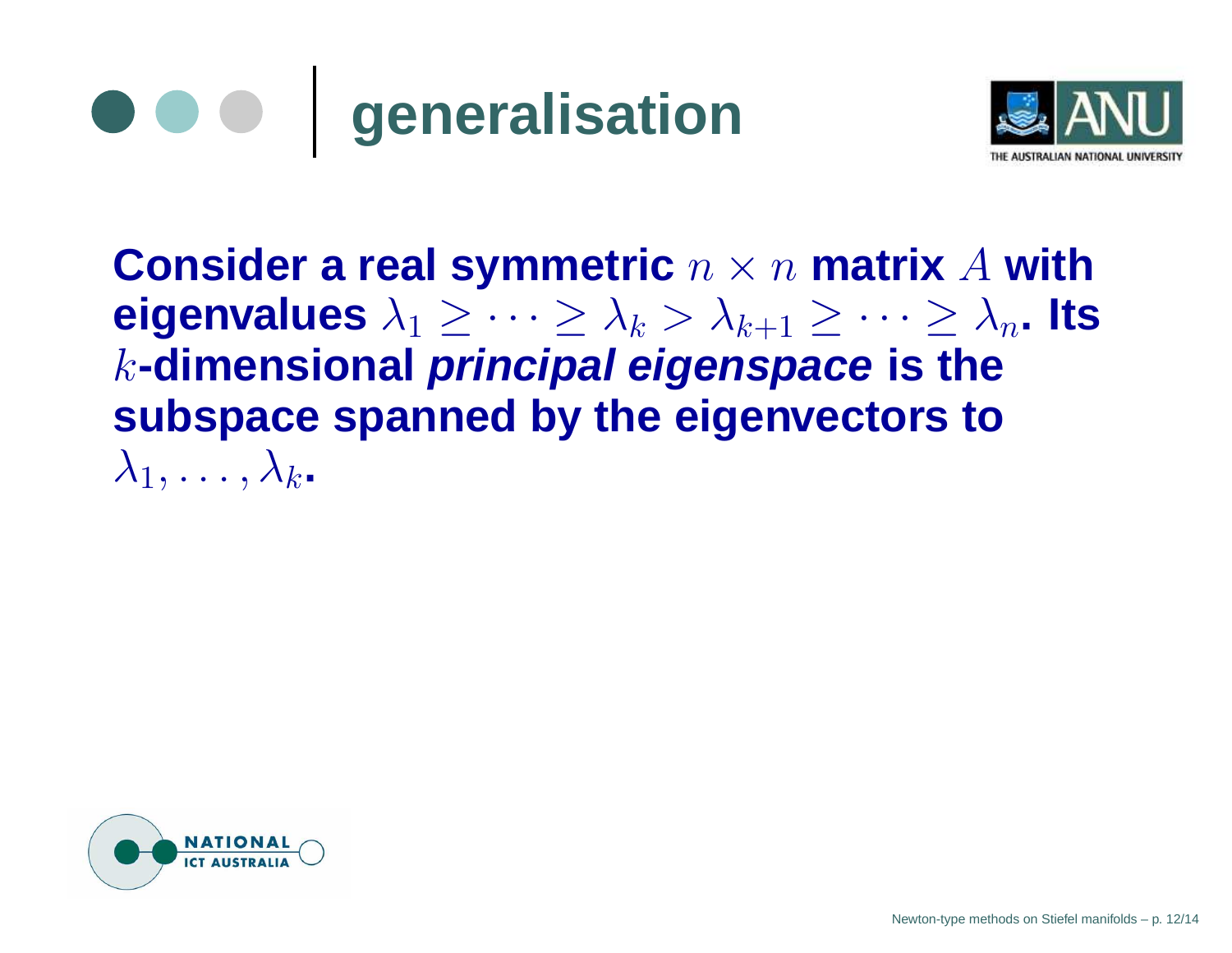



**Consider a real symmetric** <sup>n</sup> <sup>×</sup> <sup>n</sup> **matrix** A **with eigenvalues**  $\lambda_1 \geq \cdots \geq \lambda_k > \lambda_{k+1} \geq \cdots \geq \lambda_n$ . Its k**-dimensional principal eigenspace is the subspace spanned by the eigenvectors to**  $\lambda_1, \ldots, \lambda_k$ .

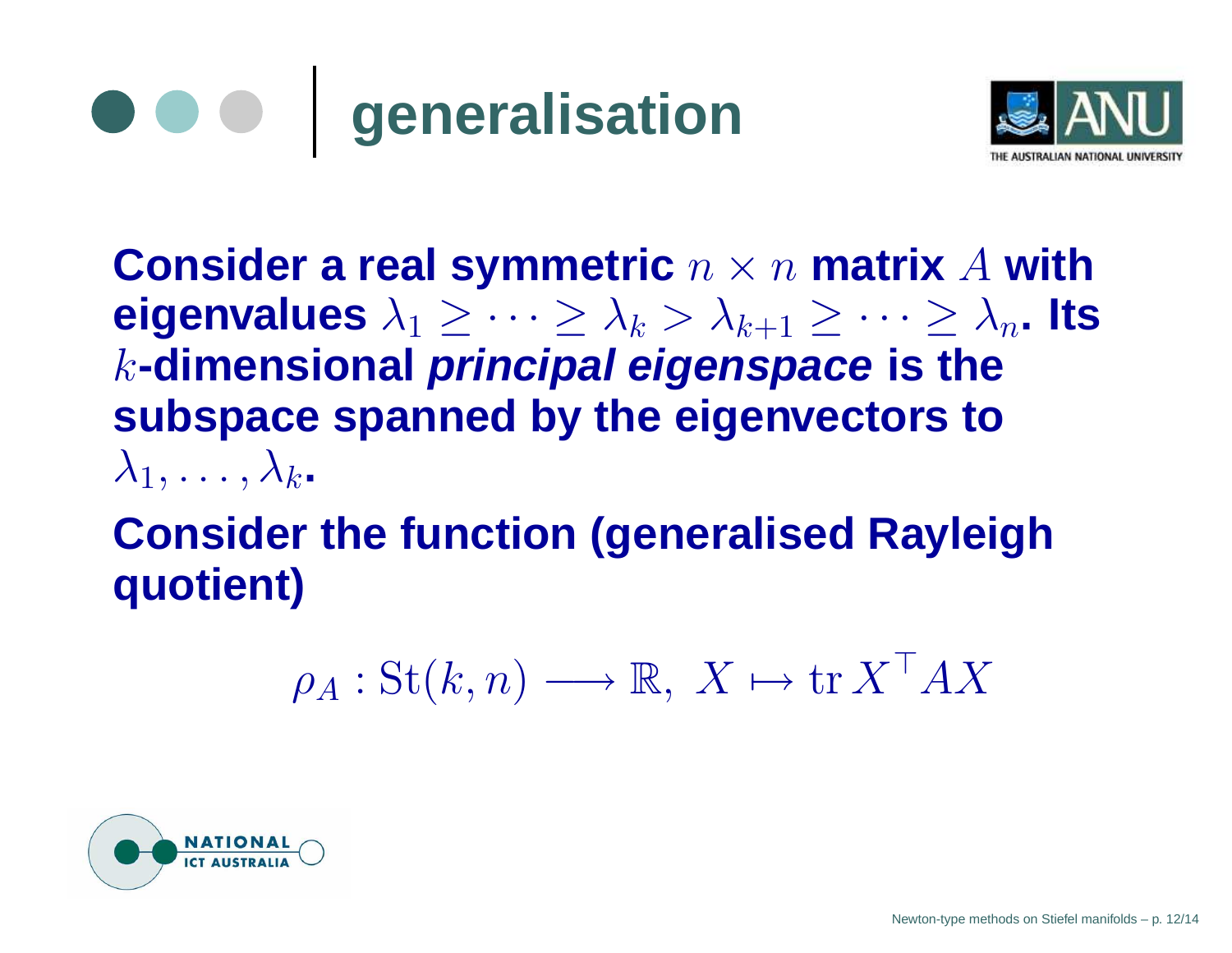



**Consider a real symmetric** <sup>n</sup> <sup>×</sup> <sup>n</sup> **matrix** A **with eigenvalues**  $\lambda_1 \geq \cdots \geq \lambda_k > \lambda_{k+1} \geq \cdots \geq \lambda_n$ . Its k**-dimensional principal eigenspace is the subspace spanned by the eigenvectors to**  $\lambda_1, \ldots, \lambda_k$ .

#### **Consider the function (generalised Rayleigh quotient)**

$$
\rho_A: \operatorname{St}(k,n) \longrightarrow \mathbb{R}, \ X \mapsto \operatorname{tr} X^\top A X
$$

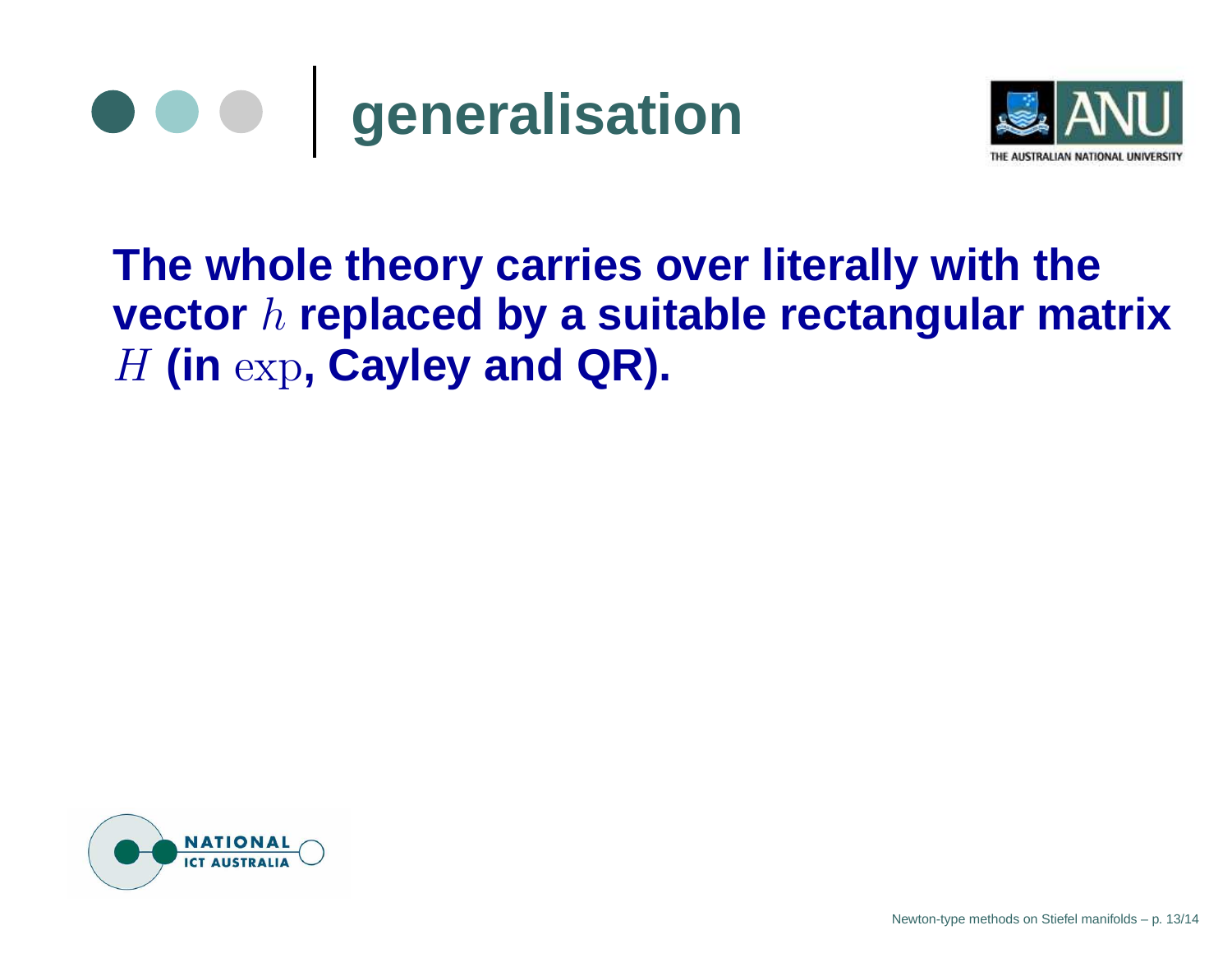



#### **The whole theory carries over literally with the vector** h **replaced by <sup>a</sup> suitable rectangular matrix** H **(in** exp**, Cayley and QR).**

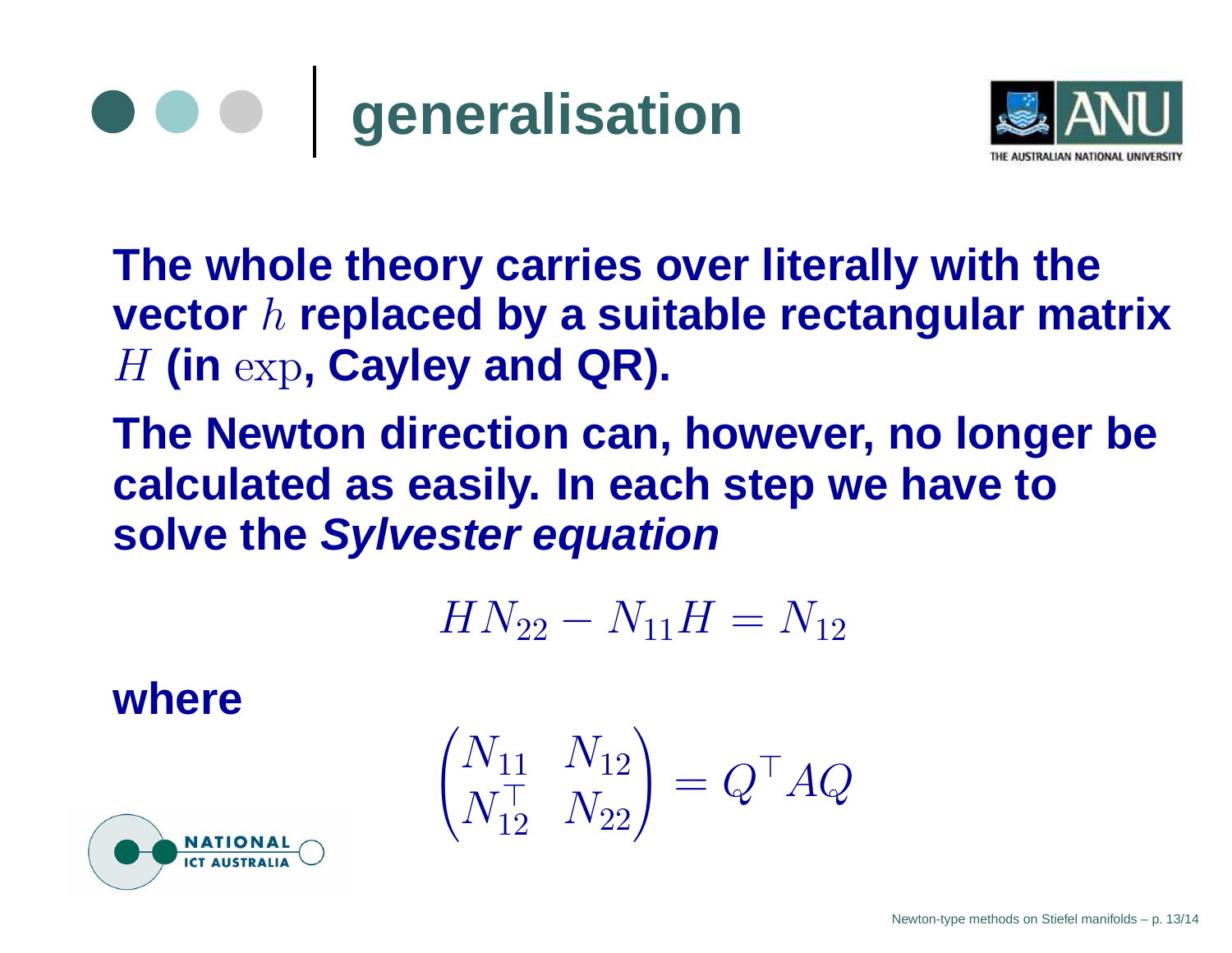



**The whole theory carries over literally with the vector** h **replaced by <sup>a</sup> suitable rectangular matrix** H **(in** exp**, Cayley and QR).**

**The Newton direction can, however, no longer be calculated as easily. In each step we have to solve the Sylvester equation**

 $HN_{22}-N_{11}H=N_{12}$ 

**where**

$$
\begin{pmatrix} N_{11} & N_{12} \\ N_{12}^{\top} & N_{22} \end{pmatrix} = Q^{\top} A Q
$$